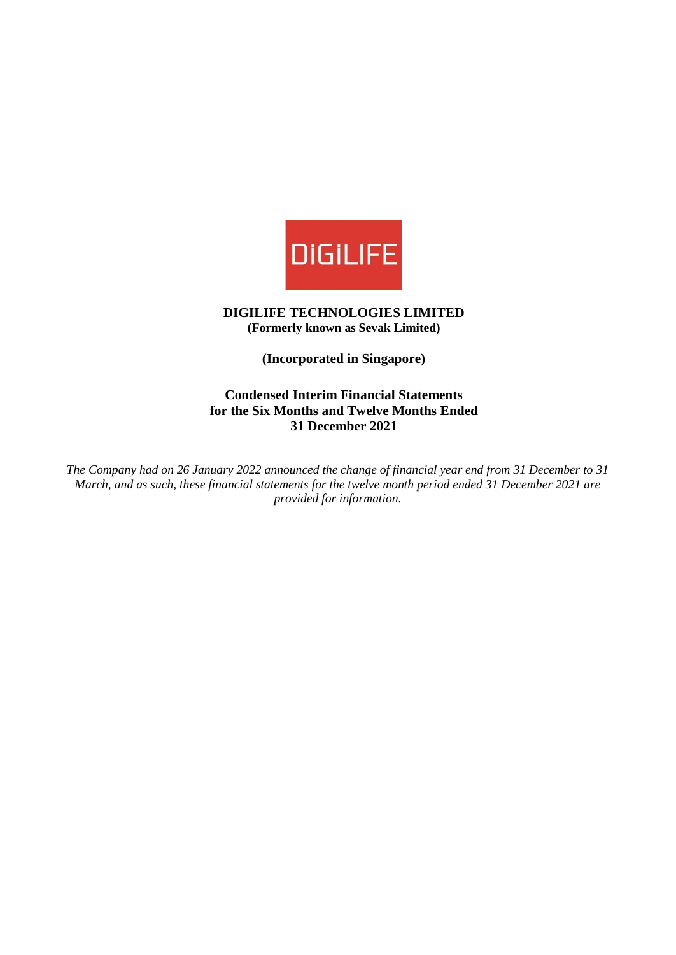

**DIGILIFE TECHNOLOGIES LIMITED (Formerly known as Sevak Limited)**

**(Incorporated in Singapore)**

**Condensed Interim Financial Statements for the Six Months and Twelve Months Ended 31 December 2021**

*The Company had on 26 January 2022 announced the change of financial year end from 31 December to 31 March, and as such, these financial statements for the twelve month period ended 31 December 2021 are provided for information.*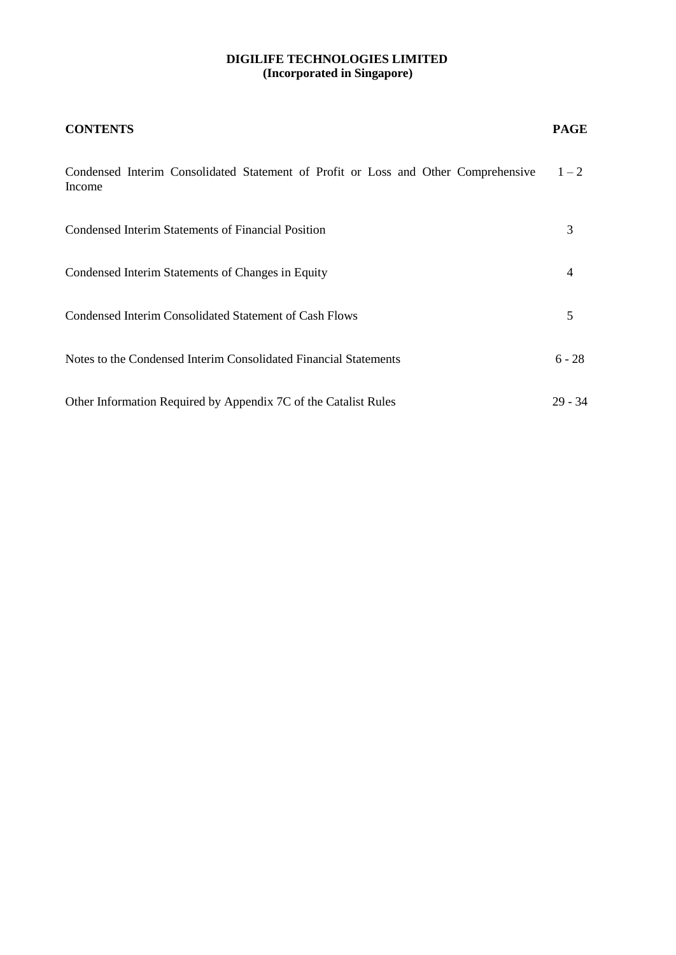| <b>CONTENTS</b>                                                                              | <b>PAGE</b> |
|----------------------------------------------------------------------------------------------|-------------|
| Condensed Interim Consolidated Statement of Profit or Loss and Other Comprehensive<br>Income | $1 - 2$     |
| Condensed Interim Statements of Financial Position                                           | 3           |
| Condensed Interim Statements of Changes in Equity                                            | 4           |
| Condensed Interim Consolidated Statement of Cash Flows                                       | 5           |
| Notes to the Condensed Interim Consolidated Financial Statements                             | $6 - 28$    |
| Other Information Required by Appendix 7C of the Catalist Rules                              | $29 - 34$   |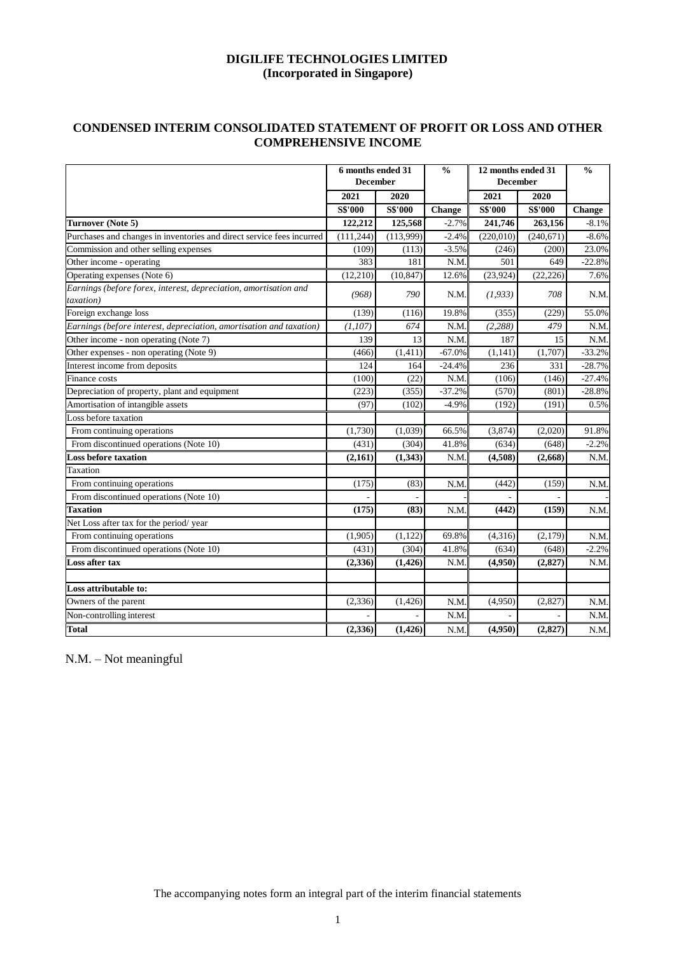## **CONDENSED INTERIM CONSOLIDATED STATEMENT OF PROFIT OR LOSS AND OTHER COMPREHENSIVE INCOME**

|                                                                               | 6 months ended 31<br><b>December</b> |                | $\frac{0}{0}$ | 12 months ended 31<br><b>December</b> |                | $\frac{0}{0}$ |  |
|-------------------------------------------------------------------------------|--------------------------------------|----------------|---------------|---------------------------------------|----------------|---------------|--|
|                                                                               | 2021                                 | 2020           |               | 2021                                  | 2020           |               |  |
|                                                                               | <b>S\$'000</b>                       | <b>S\$'000</b> | <b>Change</b> | <b>S\$'000</b>                        | <b>S\$'000</b> | <b>Change</b> |  |
| Turnover (Note 5)                                                             | 122,212                              | 125,568        | $-2.7%$       | 241,746                               | 263,156        | $-8.1%$       |  |
| Purchases and changes in inventories and direct service fees incurred         | (111, 244)                           | (113,999)      | $-2.4%$       | (220, 010)                            | (240, 671)     | $-8.6%$       |  |
| Commission and other selling expenses                                         | (109)                                | (113)          | $-3.5%$       | (246)                                 | (200)          | 23.0%         |  |
| Other income - operating                                                      | 383                                  | 181            | N.M           | 501                                   | 649            | $-22.8%$      |  |
| Operating expenses (Note 6)                                                   | (12, 210)                            | (10, 847)      | 12.6%         | (23, 924)                             | (22, 226)      | 7.6%          |  |
| Earnings (before forex, interest, depreciation, amortisation and<br>taxation) | (968)                                | 790            | N.M.          | (1, 933)                              | 708            | N.M.          |  |
| Foreign exchange loss                                                         | (139)                                | (116)          | 19.8%         | (355)                                 | (229)          | 55.0%         |  |
| Earnings (before interest, depreciation, amortisation and taxation)           | (1,107)                              | 674            | N.M           | (2, 288)                              | 479            | N.M.          |  |
| Other income - non operating (Note 7)                                         | 139                                  | 13             | N.M.          | 187                                   | 15             | N.M.          |  |
| Other expenses - non operating (Note 9)                                       | (466)                                | (1, 411)       | $-67.0%$      | (1,141)                               | (1,707)        | $-33.2%$      |  |
| Interest income from deposits                                                 | 124                                  | 164            | $-24.4%$      | 236                                   | 331            | $-28.7%$      |  |
| Finance costs                                                                 | (100)                                | (22)           | N.M.          | (106)                                 | (146)          | $-27.4%$      |  |
| Depreciation of property, plant and equipment                                 | (223)                                | (355)          | $-37.2%$      | (570)                                 | (801)          | $-28.8%$      |  |
| Amortisation of intangible assets                                             | (97)                                 | (102)          | $-4.9%$       | (192)                                 | (191)          | 0.5%          |  |
| Loss before taxation                                                          |                                      |                |               |                                       |                |               |  |
| From continuing operations                                                    | (1,730)                              | (1,039)        | 66.5%         | (3,874)                               | (2,020)        | 91.8%         |  |
| From discontinued operations (Note 10)                                        | (431)                                | (304)          | 41.8%         | (634)                                 | (648)          | $-2.2%$       |  |
| <b>Loss before taxation</b>                                                   | (2,161)                              | (1, 343)       | N.M           | (4,508)                               | (2,668)        | N.M           |  |
| Taxation                                                                      |                                      |                |               |                                       |                |               |  |
| From continuing operations                                                    | (175)                                | (83)           | N.M           | (442)                                 | (159)          | N.M           |  |
| From discontinued operations (Note 10)                                        |                                      |                |               |                                       |                |               |  |
| <b>Taxation</b>                                                               | (175)                                | (83)           | N.M           | (442)                                 | (159)          | N.M           |  |
| Net Loss after tax for the period/year                                        |                                      |                |               |                                       |                |               |  |
| From continuing operations                                                    | (1,905)                              | (1,122)        | 69.8%         | (4,316)                               | (2,179)        | N.M.          |  |
| From discontinued operations (Note 10)                                        | (431)                                | (304)          | 41.8%         | (634)                                 | (648)          | $-2.2%$       |  |
| Loss after tax                                                                | (2, 336)                             | (1,426)        | N.M.          | (4,950)                               | (2, 827)       | N.M           |  |
| Loss attributable to:                                                         |                                      |                |               |                                       |                |               |  |
| Owners of the parent                                                          | (2, 336)                             | (1, 426)       | N.M           | (4,950)                               | (2,827)        | N.M           |  |
| Non-controlling interest                                                      |                                      |                | N.M           |                                       |                | N.M           |  |
| <b>Total</b>                                                                  | (2, 336)                             | (1,426)        | N.M.          | (4,950)                               | (2,827)        | N.M.          |  |

N.M. – Not meaningful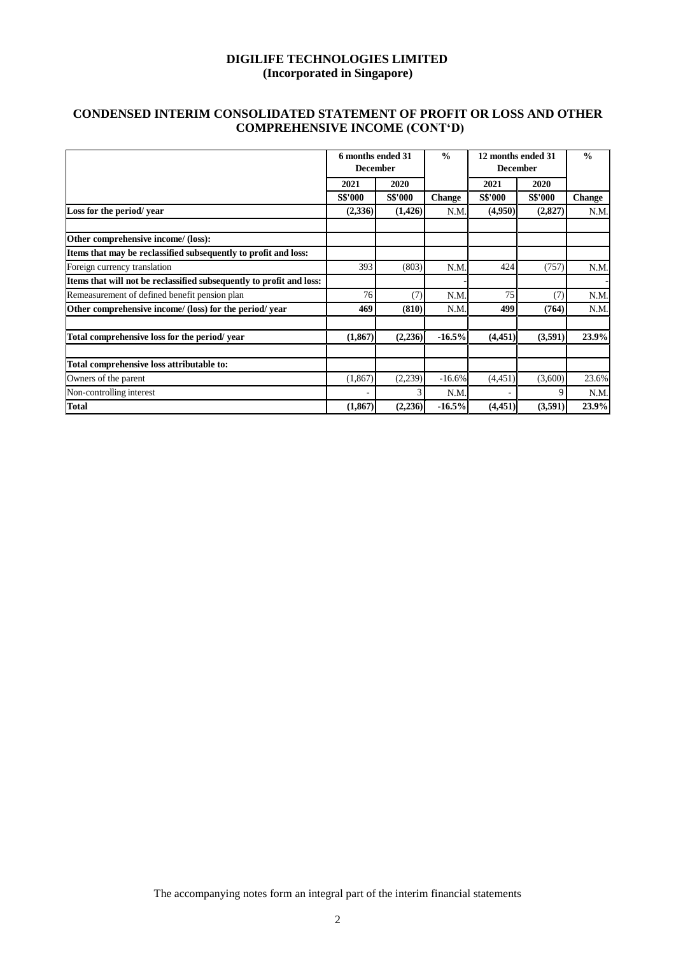## **CONDENSED INTERIM CONSOLIDATED STATEMENT OF PROFIT OR LOSS AND OTHER COMPREHENSIVE INCOME (CONT'D)**

|                                                                      | 6 months ended 31<br><b>December</b> |                | $\frac{0}{0}$ | 12 months ended 31<br><b>December</b> |                | $\frac{0}{0}$ |  |
|----------------------------------------------------------------------|--------------------------------------|----------------|---------------|---------------------------------------|----------------|---------------|--|
|                                                                      | 2020<br>2021                         |                |               | 2021                                  | 2020           |               |  |
|                                                                      | <b>S\$'000</b>                       | <b>S\$'000</b> | <b>Change</b> | <b>S\$'000</b>                        | <b>S\$'000</b> | <b>Change</b> |  |
| Loss for the period/year                                             | (2,336)                              | (1,426)        | N.M.          | (4,950)                               | (2,827)        | N.M           |  |
| Other comprehensive income/ (loss):                                  |                                      |                |               |                                       |                |               |  |
| Items that may be reclassified subsequently to profit and loss:      |                                      |                |               |                                       |                |               |  |
| Foreign currency translation                                         | 393                                  | (803)          | N.M.          | 424                                   | (757)          | N.M           |  |
| Items that will not be reclassified subsequently to profit and loss: |                                      |                |               |                                       |                |               |  |
| Remeasurement of defined benefit pension plan                        | 76                                   | (7)            | N.M.          | 75                                    | (7)            | N.M           |  |
| Other comprehensive income/ (loss) for the period/ year              | 469                                  | (810)          | N.M.          | 499                                   | (764)          | N.M           |  |
| Total comprehensive loss for the period/year                         | (1, 867)                             | (2,236)        | $-16.5%$      | (4,451)                               | (3,591)        | 23.9%         |  |
| Total comprehensive loss attributable to:                            |                                      |                |               |                                       |                |               |  |
| Owners of the parent                                                 | (1, 867)                             | (2,239)        | $-16.6%$      | (4,451)                               | (3,600)        | 23.6%         |  |
| Non-controlling interest                                             |                                      | 3              | N.M.          |                                       | 9              | N.M           |  |
| <b>Total</b>                                                         | (1, 867)                             | (2,236)        | $-16.5%$      | (4,451)                               | (3,591)        | 23.9%         |  |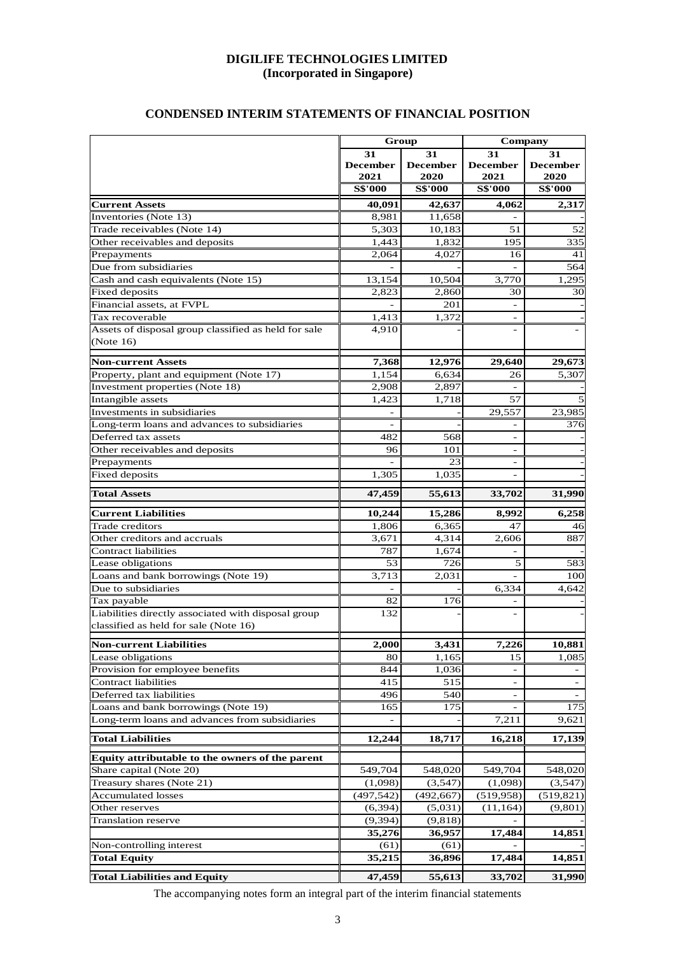## **CONDENSED INTERIM STATEMENTS OF FINANCIAL POSITION**

|                                                          |                               | Group                         | Company                       |                               |  |
|----------------------------------------------------------|-------------------------------|-------------------------------|-------------------------------|-------------------------------|--|
|                                                          | 31<br><b>December</b><br>2021 | 31<br><b>December</b><br>2020 | 31<br><b>December</b><br>2021 | 31<br><b>December</b><br>2020 |  |
|                                                          | <b>S\$'000</b>                | <b>S\$'000</b>                | <b>S\$'000</b>                | <b>S\$'000</b>                |  |
| <b>Current Assets</b>                                    | 40,091                        | 42,637                        | 4,062                         | 2,317                         |  |
| Inventories (Note 13)                                    | 8,981                         | 11,658                        |                               |                               |  |
| Trade receivables (Note 14)                              | 5,303                         | 10,183                        | 51                            | 52                            |  |
| Other receivables and deposits                           | 1,443                         | 1.832                         | 195                           | 335                           |  |
| Prepayments                                              | 2,064                         | 4,027                         | 16                            | 41                            |  |
| Due from subsidiaries                                    |                               |                               |                               | 564                           |  |
| Cash and cash equivalents (Note 15)                      | 13,154                        | 10,504                        | 3,770                         | 1,295                         |  |
| <b>Fixed</b> deposits<br>Financial assets, at FVPL       | 2.823                         | 2,860                         | 30                            | 30                            |  |
| Tax recoverable                                          | 1,413                         | 201<br>1,372                  |                               |                               |  |
| Assets of disposal group classified as held for sale     | 4,910                         |                               |                               |                               |  |
| (Note $16$ )                                             |                               |                               |                               |                               |  |
| <b>Non-current Assets</b>                                | 7,368                         | 12,976                        | 29,640                        | 29,673                        |  |
| Property, plant and equipment (Note 17)                  | 1,154                         | 6,634                         | 26                            | 5,307                         |  |
| Investment properties (Note 18)                          | 2,908                         | 2,897                         |                               |                               |  |
| Intangible assets                                        | 1,423                         | 1,718                         | 57                            |                               |  |
| Investments in subsidiaries                              |                               |                               | 29,557                        | 23,985                        |  |
| Long-term loans and advances to subsidiaries             |                               |                               |                               | 376                           |  |
| Deferred tax assets                                      | 482                           | 568                           | ÷                             |                               |  |
| Other receivables and deposits                           | 96                            | 101<br>23                     |                               |                               |  |
| Prepayments<br><b>Fixed deposits</b>                     | 1,305                         | 1,035                         |                               |                               |  |
|                                                          |                               |                               |                               |                               |  |
| <b>Total Assets</b>                                      | 47,459                        | 55,613                        | 33,702                        | 31,990                        |  |
| <b>Current Liabilities</b>                               | 10,244                        | 15,286                        | 8,992                         | 6,258                         |  |
| Trade creditors                                          | 1,806                         | 6,365                         | 47                            | 46                            |  |
| Other creditors and accruals                             | 3,671                         | 4,314                         | 2,606                         | 887                           |  |
| Contract liabilities                                     | 787                           | 1,674                         |                               |                               |  |
| Lease obligations<br>Loans and bank borrowings (Note 19) | 53<br>3,713                   | 726<br>$\overline{2,}031$     | 5                             | 583<br>100                    |  |
| Due to subsidiaries                                      |                               |                               | 6,334                         | 4.642                         |  |
| Tax payable                                              | 82                            | 176                           |                               |                               |  |
| Liabilities directly associated with disposal group      | 132                           |                               |                               |                               |  |
| classified as held for sale (Note 16)                    |                               |                               |                               |                               |  |
| <b>Non-current Liabilities</b>                           | 2,000                         | 3,431                         | 7,226                         | 10,881                        |  |
| Lease obligations                                        | 80                            | 1,165                         | 15                            | 1,085                         |  |
| Provision for employee benefits                          | 844                           | 1,036                         |                               |                               |  |
| <b>Contract liabilities</b>                              | 415                           | 515                           | $\overline{\phantom{0}}$      | $\overline{\phantom{a}}$      |  |
| Deferred tax liabilities                                 | 496                           | 540                           |                               |                               |  |
| Loans and bank borrowings (Note 19)                      | 165                           | 175                           |                               | 175                           |  |
| Long-term loans and advances from subsidiaries           |                               |                               | 7,211                         | 9,621                         |  |
| <b>Total Liabilities</b>                                 | 12,244                        | 18,717                        | 16,218                        | 17,139                        |  |
| Equity attributable to the owners of the parent          |                               |                               |                               |                               |  |
| Share capital (Note 20)                                  | 549,704                       | 548,020                       | 549,704                       | 548,020                       |  |
| Treasury shares (Note 21)                                | (1,098)                       | (3,547)                       | (1,098)                       | (3,547)                       |  |
| <b>Accumulated losses</b>                                | (497, 542)                    | (492, 667)                    | (519, 958)                    | (519, 821)<br>(9, 801)        |  |
| Other reserves<br><b>Translation reserve</b>             | (6, 394)<br>(9, 394)          | (5,031)<br>(9, 818)           | (11, 164)                     |                               |  |
|                                                          | 35,276                        | 36,957                        | 17,484                        | 14,851                        |  |
| Non-controlling interest                                 | (61)                          | (61)                          |                               |                               |  |
| <b>Total Equity</b>                                      | 35,215                        | 36,896                        | 17,484                        | 14,851                        |  |
|                                                          |                               |                               |                               |                               |  |
| <b>Total Liabilities and Equity</b>                      | 47,459                        | 55,613                        | 33,702                        | 31,990                        |  |

The accompanying notes form an integral part of the interim financial statements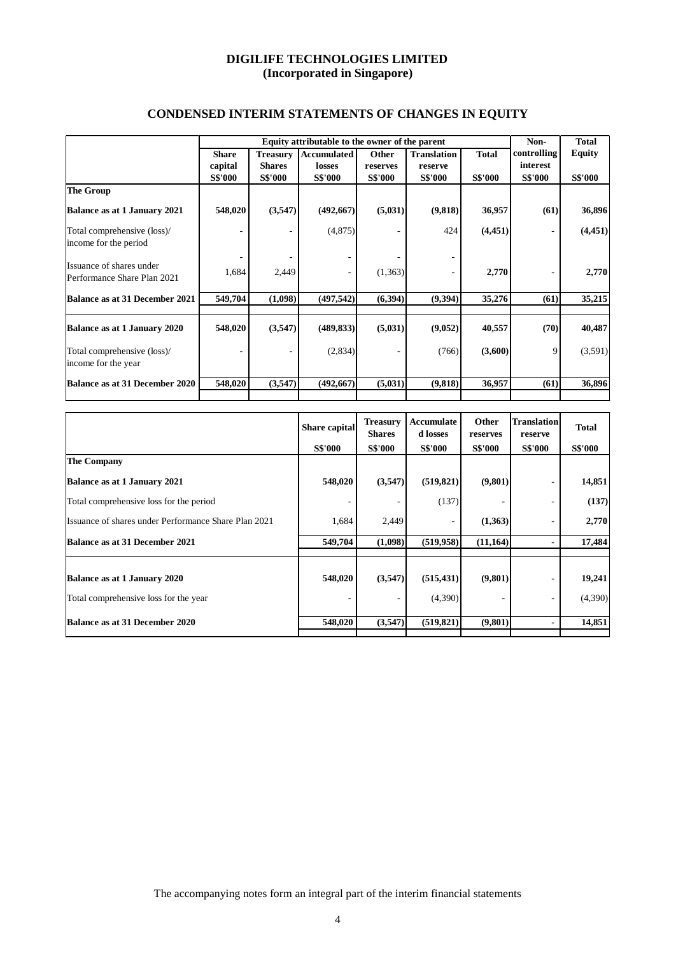|                                     | Equity attributable to the owner of the parent |                 |                    |                |                    |                | Non-           | <b>Total</b>   |
|-------------------------------------|------------------------------------------------|-----------------|--------------------|----------------|--------------------|----------------|----------------|----------------|
|                                     | <b>Share</b>                                   | <b>Treasury</b> | <b>Accumulated</b> | Other          | <b>Translation</b> | <b>Total</b>   | controlling    | <b>Equity</b>  |
|                                     | capital                                        | <b>Shares</b>   | losses             | reserves       | reserve            |                | interest       |                |
|                                     | <b>S\$'000</b>                                 | <b>S\$'000</b>  | <b>S\$'000</b>     | <b>S\$'000</b> | <b>S\$'000</b>     | <b>S\$'000</b> | <b>S\$'000</b> | <b>S\$'000</b> |
| <b>The Group</b>                    |                                                |                 |                    |                |                    |                |                |                |
| Balance as at 1 January 2021        | 548,020                                        | (3,547)         | (492,667)          | (5,031)        | (9,818)            | 36,957         | (61)           | 36,896         |
| Total comprehensive (loss)/         |                                                |                 | (4,875)            |                | 424                | (4, 451)       |                | (4, 451)       |
| income for the period               |                                                |                 |                    |                |                    |                |                |                |
| Issuance of shares under            |                                                |                 |                    |                |                    |                |                |                |
| Performance Share Plan 2021         | 1,684                                          | 2,449           |                    | (1,363)        |                    | 2,770          |                | 2,770          |
| Balance as at 31 December 2021      | 549,704                                        | (1,098)         | (497, 542)         | (6,394)        | (9,394)            | 35,276         | (61)           | 35,215         |
|                                     |                                                |                 |                    |                |                    |                |                |                |
| <b>Balance as at 1 January 2020</b> | 548,020                                        | (3,547)         | (489, 833)         | (5,031)        | (9,052)            | 40,557         | (70)           | 40,487         |
| Total comprehensive (loss)/         |                                                |                 | (2,834)            |                | (766)              | (3,600)        | 9              | (3,591)        |
| income for the year                 |                                                |                 |                    |                |                    |                |                |                |
| Balance as at 31 December 2020      | 548,020                                        | (3,547)         | (492,667)          | (5,031)        | (9, 818)           | 36,957         | (61)           | 36,896         |
|                                     |                                                |                 |                    |                |                    |                |                |                |

# **CONDENSED INTERIM STATEMENTS OF CHANGES IN EQUITY**

|                                                      | Share capital  | <b>Treasury</b><br><b>Shares</b> | Accumulate<br>d losses | Other<br>reserves | <b>Translation</b><br>reserve | <b>Total</b>   |
|------------------------------------------------------|----------------|----------------------------------|------------------------|-------------------|-------------------------------|----------------|
|                                                      | <b>S\$'000</b> | <b>S\$'000</b>                   | <b>S\$'000</b>         | <b>S\$'000</b>    | <b>S\$'000</b>                | <b>S\$'000</b> |
| <b>The Company</b>                                   |                |                                  |                        |                   |                               |                |
| Balance as at 1 January 2021                         | 548,020        | (3,547)                          | (519, 821)             | (9,801)           | ٠                             | 14,851         |
| Total comprehensive loss for the period              |                |                                  | (137)                  |                   | ۰                             | (137)          |
| Issuance of shares under Performance Share Plan 2021 | 1,684          | 2,449                            |                        | (1,363)           |                               | 2,770          |
| Balance as at 31 December 2021                       | 549,704        | (1,098)                          | (519, 958)             | (11, 164)         | ٠                             | 17,484         |
|                                                      |                |                                  |                        |                   |                               |                |
| Balance as at 1 January 2020                         | 548,020        | (3,547)                          | (515, 431)             | (9,801)           |                               | 19,241         |
| Total comprehensive loss for the year                |                |                                  | (4,390)                |                   | ۰                             | (4,390)        |
| Balance as at 31 December 2020                       | 548,020        | (3,547)                          | (519, 821)             | (9,801)           | $\blacksquare$                | 14,851         |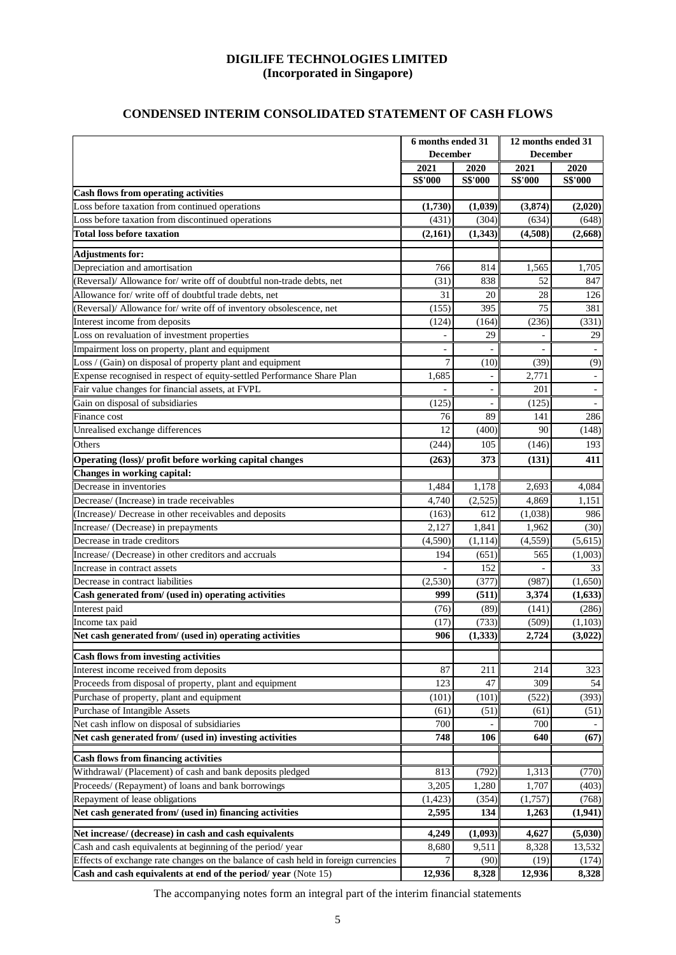## **CONDENSED INTERIM CONSOLIDATED STATEMENT OF CASH FLOWS**

|                                                                                                                                                 | 6 months ended 31<br><b>December</b> |                |                | 12 months ended 31<br><b>December</b> |  |  |
|-------------------------------------------------------------------------------------------------------------------------------------------------|--------------------------------------|----------------|----------------|---------------------------------------|--|--|
|                                                                                                                                                 | 2021                                 | 2020           | 2021           | 2020                                  |  |  |
|                                                                                                                                                 | S\$'000                              | <b>S\$'000</b> | S\$'000        | <b>S\$'000</b>                        |  |  |
| <b>Cash flows from operating activities</b>                                                                                                     |                                      |                |                |                                       |  |  |
| Loss before taxation from continued operations                                                                                                  | (1,730)                              | (1,039)        | (3,874)        | (2,020)                               |  |  |
| Loss before taxation from discontinued operations                                                                                               | (431)                                | (304)          | (634)          | (648)                                 |  |  |
| <b>Total loss before taxation</b>                                                                                                               | (2,161)                              | (1,343)        | (4,508)        | (2,668)                               |  |  |
| <b>Adjustments for:</b>                                                                                                                         |                                      |                |                |                                       |  |  |
| Depreciation and amortisation                                                                                                                   | 766                                  | 814            | 1,565          | 1,705                                 |  |  |
| (Reversal)/ Allowance for/ write off of doubtful non-trade debts, net                                                                           | (31)                                 | 838            | 52             | 847                                   |  |  |
| Allowance for/write off of doubtful trade debts, net                                                                                            | 31                                   | 20             | 28             | 126                                   |  |  |
| (Reversal)/ Allowance for/ write off of inventory obsolescence, net                                                                             | (155)                                | 395            | 75             | 381                                   |  |  |
| Interest income from deposits                                                                                                                   | (124)                                | (164)          | (236)          | (331)                                 |  |  |
| Loss on revaluation of investment properties                                                                                                    | ÷,                                   | 29             | $\overline{a}$ | 29                                    |  |  |
| Impairment loss on property, plant and equipment                                                                                                |                                      |                |                |                                       |  |  |
| Loss / (Gain) on disposal of property plant and equipment                                                                                       | 7                                    | (10)           | (39)           | (9)                                   |  |  |
| Expense recognised in respect of equity-settled Performance Share Plan                                                                          | 1,685                                |                | 2,771          |                                       |  |  |
| Fair value changes for financial assets, at FVPL                                                                                                |                                      | $\blacksquare$ | 201            | $\overline{\phantom{a}}$              |  |  |
| Gain on disposal of subsidiaries                                                                                                                | (125)                                |                | (125)          | $\overline{\phantom{a}}$              |  |  |
| Finance cost                                                                                                                                    | 76                                   | 89             | 141            | 286                                   |  |  |
| Unrealised exchange differences                                                                                                                 | 12                                   | (400)          | 90             | (148)                                 |  |  |
| Others                                                                                                                                          | (244)                                | 105            | (146)          | 193                                   |  |  |
| Operating (loss)/ profit before working capital changes                                                                                         | (263)                                | 373            | (131)          | 411                                   |  |  |
| Changes in working capital:                                                                                                                     |                                      |                |                |                                       |  |  |
| Decrease in inventories                                                                                                                         | 1,484                                | 1,178          | 2,693          | 4,084                                 |  |  |
| Decrease/ (Increase) in trade receivables                                                                                                       | 4,740                                | (2,525)        | 4,869          | 1,151                                 |  |  |
| (Increase)/ Decrease in other receivables and deposits                                                                                          | (163)                                | 612            | (1,038)        | 986                                   |  |  |
| Increase/ (Decrease) in prepayments                                                                                                             | 2,127                                | 1,841          | 1,962          | (30)                                  |  |  |
| Decrease in trade creditors                                                                                                                     | (4,590)                              | (1, 114)       | (4, 559)       | (5,615)                               |  |  |
| Increase/ (Decrease) in other creditors and accruals                                                                                            | 194                                  | (651)          | 565            | (1,003)                               |  |  |
| Increase in contract assets                                                                                                                     |                                      | 152            | L.             | 33                                    |  |  |
| Decrease in contract liabilities                                                                                                                | (2,530)                              | (377)          | (987)          | (1,650)                               |  |  |
| Cash generated from/ (used in) operating activities                                                                                             | 999                                  | (511)          | 3,374          | (1,633)                               |  |  |
| Interest paid                                                                                                                                   | (76)                                 | (89)           | (141)          | (286)                                 |  |  |
| Income tax paid                                                                                                                                 | (17)                                 | (733)          | (509)          | (1,103)                               |  |  |
| Net cash generated from/ (used in) operating activities                                                                                         | 906                                  | (1, 333)       | 2.724          | (3,022)                               |  |  |
|                                                                                                                                                 |                                      |                |                |                                       |  |  |
| <b>Cash flows from investing activities</b>                                                                                                     |                                      |                |                |                                       |  |  |
| Interest income received from deposits                                                                                                          | 87                                   | 211            | 214            | 323                                   |  |  |
| Proceeds from disposal of property, plant and equipment                                                                                         | 123                                  | 47             | 309            | 54                                    |  |  |
| Purchase of property, plant and equipment                                                                                                       | (101)                                | (101)          | (522)          | (393)                                 |  |  |
| Purchase of Intangible Assets                                                                                                                   | (61)                                 | (51)           | (61)           | (51)                                  |  |  |
| Net cash inflow on disposal of subsidiaries                                                                                                     | 700                                  |                | 700            | $\blacksquare$                        |  |  |
| Net cash generated from/ (used in) investing activities                                                                                         | 748                                  | 106            | 640            | (67)                                  |  |  |
| <b>Cash flows from financing activities</b>                                                                                                     |                                      |                |                |                                       |  |  |
| Withdrawal/ (Placement) of cash and bank deposits pledged                                                                                       | 813                                  | (792)          | 1,313          | (770)                                 |  |  |
| Proceeds/ (Repayment) of loans and bank borrowings                                                                                              | 3,205                                | 1,280          | 1,707          | (403)                                 |  |  |
| Repayment of lease obligations                                                                                                                  | (1, 423)                             | (354)          | (1,757)        | (768)                                 |  |  |
| Net cash generated from/ (used in) financing activities                                                                                         | 2,595                                | 134            | 1,263          | (1, 941)                              |  |  |
|                                                                                                                                                 |                                      |                |                |                                       |  |  |
| Net increase/ (decrease) in cash and cash equivalents                                                                                           | 4,249                                | (1,093)        | 4,627          | (5,030)                               |  |  |
| Cash and cash equivalents at beginning of the period/year<br>Effects of exchange rate changes on the balance of cash held in foreign currencies | 8,680<br>7                           | 9,511          | 8,328          | 13,532                                |  |  |
|                                                                                                                                                 |                                      | (90)           | (19)           | (174)                                 |  |  |
| Cash and cash equivalents at end of the period/year (Note 15)                                                                                   | 12,936                               | 8,328          | 12,936         | 8,328                                 |  |  |

The accompanying notes form an integral part of the interim financial statements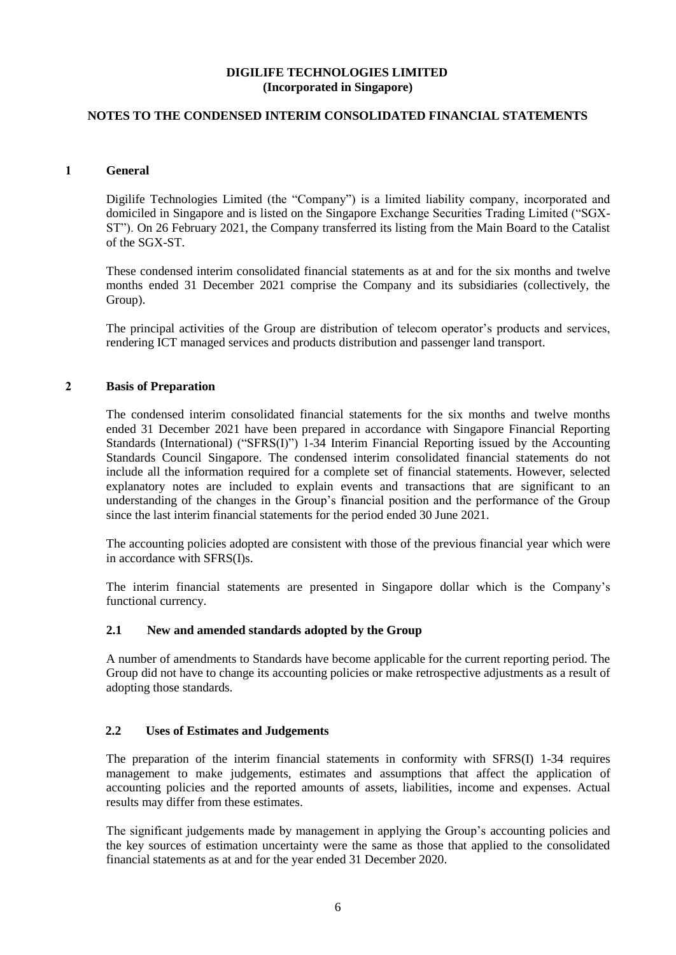## **NOTES TO THE CONDENSED INTERIM CONSOLIDATED FINANCIAL STATEMENTS**

## **1 General**

Digilife Technologies Limited (the "Company") is a limited liability company, incorporated and domiciled in Singapore and is listed on the Singapore Exchange Securities Trading Limited ("SGX-ST"). On 26 February 2021, the Company transferred its listing from the Main Board to the Catalist of the SGX-ST.

These condensed interim consolidated financial statements as at and for the six months and twelve months ended 31 December 2021 comprise the Company and its subsidiaries (collectively, the Group).

The principal activities of the Group are distribution of telecom operator's products and services, rendering ICT managed services and products distribution and passenger land transport.

#### **2 Basis of Preparation**

The condensed interim consolidated financial statements for the six months and twelve months ended 31 December 2021 have been prepared in accordance with Singapore Financial Reporting Standards (International) ("SFRS(I)") 1-34 Interim Financial Reporting issued by the Accounting Standards Council Singapore. The condensed interim consolidated financial statements do not include all the information required for a complete set of financial statements. However, selected explanatory notes are included to explain events and transactions that are significant to an understanding of the changes in the Group's financial position and the performance of the Group since the last interim financial statements for the period ended 30 June 2021.

The accounting policies adopted are consistent with those of the previous financial year which were in accordance with SFRS(I)s.

The interim financial statements are presented in Singapore dollar which is the Company's functional currency.

### **2.1 New and amended standards adopted by the Group**

A number of amendments to Standards have become applicable for the current reporting period. The Group did not have to change its accounting policies or make retrospective adjustments as a result of adopting those standards.

### **2.2 Uses of Estimates and Judgements**

The preparation of the interim financial statements in conformity with SFRS(I) 1-34 requires management to make judgements, estimates and assumptions that affect the application of accounting policies and the reported amounts of assets, liabilities, income and expenses. Actual results may differ from these estimates.

The significant judgements made by management in applying the Group's accounting policies and the key sources of estimation uncertainty were the same as those that applied to the consolidated financial statements as at and for the year ended 31 December 2020.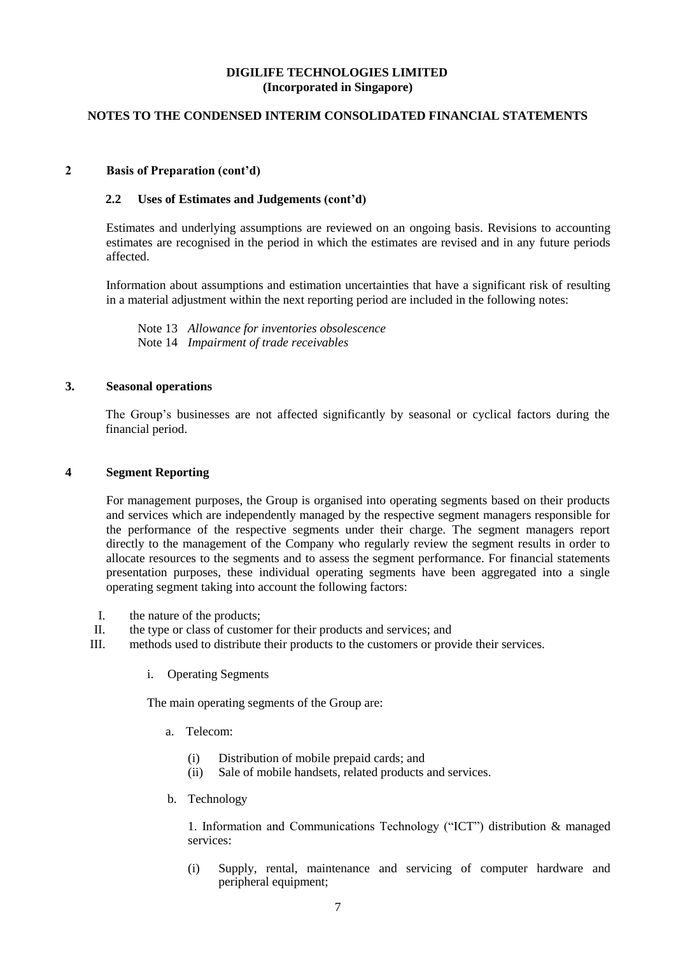## **NOTES TO THE CONDENSED INTERIM CONSOLIDATED FINANCIAL STATEMENTS**

### **2 Basis of Preparation (cont'd)**

### **2.2 Uses of Estimates and Judgements (cont'd)**

Estimates and underlying assumptions are reviewed on an ongoing basis. Revisions to accounting estimates are recognised in the period in which the estimates are revised and in any future periods affected.

Information about assumptions and estimation uncertainties that have a significant risk of resulting in a material adjustment within the next reporting period are included in the following notes:

Note 13 *Allowance for inventories obsolescence* Note 14 *Impairment of trade receivables*

#### **3. Seasonal operations**

The Group's businesses are not affected significantly by seasonal or cyclical factors during the financial period.

#### **4 Segment Reporting**

For management purposes, the Group is organised into operating segments based on their products and services which are independently managed by the respective segment managers responsible for the performance of the respective segments under their charge. The segment managers report directly to the management of the Company who regularly review the segment results in order to allocate resources to the segments and to assess the segment performance. For financial statements presentation purposes, these individual operating segments have been aggregated into a single operating segment taking into account the following factors:

- I. the nature of the products;
- II. the type or class of customer for their products and services; and
- III. methods used to distribute their products to the customers or provide their services.
	- i. Operating Segments

The main operating segments of the Group are:

- a. Telecom:
	- (i) Distribution of mobile prepaid cards; and
	- (ii) Sale of mobile handsets, related products and services.
- b. Technology

1. Information and Communications Technology ("ICT") distribution & managed services:

(i) Supply, rental, maintenance and servicing of computer hardware and peripheral equipment;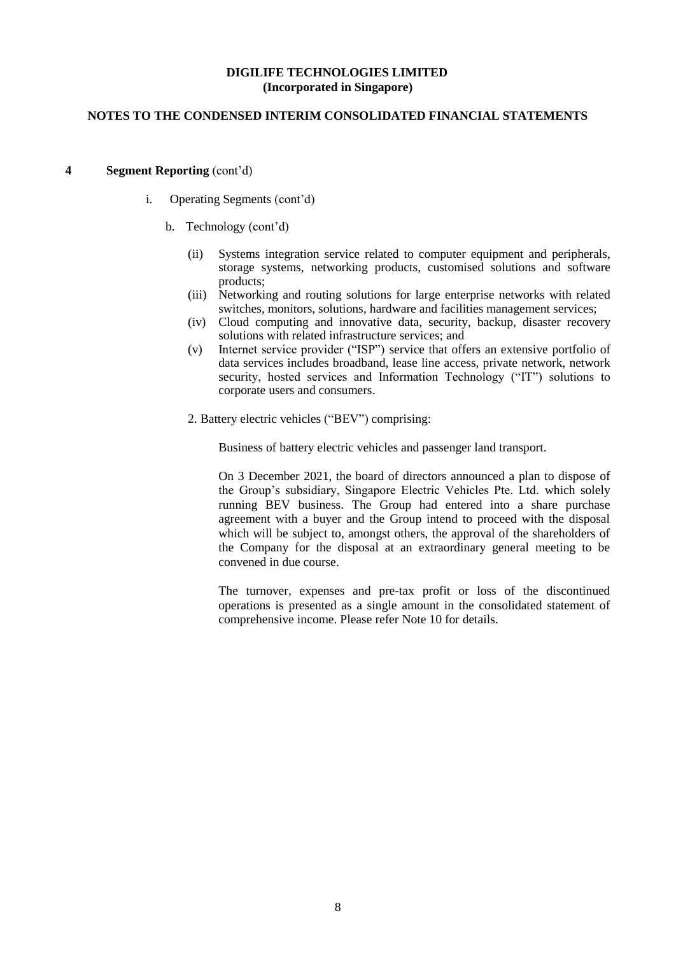## **NOTES TO THE CONDENSED INTERIM CONSOLIDATED FINANCIAL STATEMENTS**

#### **4 Segment Reporting** (cont'd)

- i. Operating Segments (cont'd)
	- b. Technology (cont'd)
		- (ii) Systems integration service related to computer equipment and peripherals, storage systems, networking products, customised solutions and software products;
		- (iii) Networking and routing solutions for large enterprise networks with related switches, monitors, solutions, hardware and facilities management services;
		- (iv) Cloud computing and innovative data, security, backup, disaster recovery solutions with related infrastructure services; and
		- (v) Internet service provider ("ISP") service that offers an extensive portfolio of data services includes broadband, lease line access, private network, network security, hosted services and Information Technology ("IT") solutions to corporate users and consumers.
		- 2. Battery electric vehicles ("BEV") comprising:

Business of battery electric vehicles and passenger land transport.

On 3 December 2021, the board of directors announced a plan to dispose of the Group's subsidiary, Singapore Electric Vehicles Pte. Ltd. which solely running BEV business. The Group had entered into a share purchase agreement with a buyer and the Group intend to proceed with the disposal which will be subject to, amongst others, the approval of the shareholders of the Company for the disposal at an extraordinary general meeting to be convened in due course.

The turnover, expenses and pre-tax profit or loss of the discontinued operations is presented as a single amount in the consolidated statement of comprehensive income. Please refer Note 10 for details.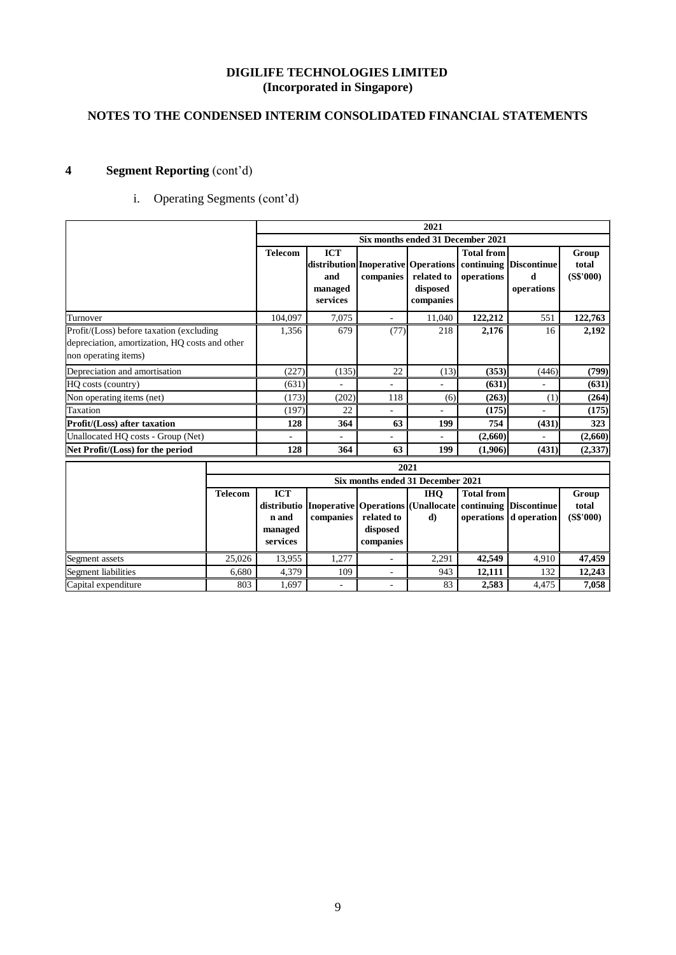# **NOTES TO THE CONDENSED INTERIM CONSOLIDATED FINANCIAL STATEMENTS**

# **4 Segment Reporting** (cont'd)

# i. Operating Segments (cont'd)

|                                                                        |                |                                                                                 |           | 2021                                |                                 |                                           |                             |
|------------------------------------------------------------------------|----------------|---------------------------------------------------------------------------------|-----------|-------------------------------------|---------------------------------|-------------------------------------------|-----------------------------|
|                                                                        |                |                                                                                 |           | Six months ended 31 December 2021   |                                 |                                           |                             |
|                                                                        | <b>Telecom</b> | <b>ICT</b><br>distribution Inoperative Operations<br>and<br>managed<br>services | companies | related to<br>disposed<br>companies | <b>Total from</b><br>operations | continuing Discontinue<br>d<br>operations | Group<br>total<br>(S\$'000) |
| Turnover                                                               | 104.097        | 7,075                                                                           |           | 11,040                              | 122,212                         | 551                                       | 122,763                     |
| Profit/(Loss) before taxation (excluding                               | 1,356          | 679                                                                             | (77)      | 218                                 | 2,176                           | 16                                        | 2,192                       |
| depreciation, amortization, HQ costs and other<br>non operating items) |                |                                                                                 |           |                                     |                                 |                                           |                             |
| Depreciation and amortisation                                          | (227)          | (135)                                                                           | 22        | (13)                                | (353)                           | (446)                                     | (799)                       |
| HO costs (country)                                                     | (631)          |                                                                                 |           |                                     | (631)                           |                                           | (631)                       |
| Non operating items (net)                                              | (173)          | (202)                                                                           | 118       | (6)                                 | (263)                           | (1)                                       | (264)                       |
| Taxation                                                               | (197)          | 22                                                                              | ٠         |                                     | (175)                           |                                           | (175)                       |
| Profit/(Loss) after taxation                                           | 128            | 364                                                                             | 63        | 199                                 | 754                             | (431)                                     | 323                         |
| Unallocated HQ costs - Group (Net)                                     | ٠              |                                                                                 | ۰         |                                     | (2,660)                         |                                           | (2,660)                     |
| Net Profit/(Loss) for the period                                       | 128            | 364                                                                             | 63        | 199                                 | (1,906)                         | (431)                                     | (2, 337)                    |

|                     | 2021    |                                   |           |                       |            |                   |                                                                                     |                |  |  |
|---------------------|---------|-----------------------------------|-----------|-----------------------|------------|-------------------|-------------------------------------------------------------------------------------|----------------|--|--|
|                     |         | Six months ended 31 December 2021 |           |                       |            |                   |                                                                                     |                |  |  |
|                     | Telecom | <b>ICT</b>                        |           |                       | <b>IHO</b> | <b>Total from</b> | distributio   Inoperative    Operations    (Unallocate    continuing    Discontinue | Group<br>total |  |  |
|                     |         | n and                             | companies | related to            | d)         |                   | operations d operation                                                              | (S\$'000)      |  |  |
|                     |         | managed<br>services               |           | disposed<br>companies |            |                   |                                                                                     |                |  |  |
| Segment assets      | 25,026  | 13,955                            | 1.277     |                       | 2.291      | 42,549            | 4,910                                                                               | 47,459         |  |  |
| Segment liabilities | 6.680   | 4,379                             | 109       |                       | 943        | 12,111            | 132                                                                                 | 12,243         |  |  |
| Capital expenditure | 803     | 1.697                             |           |                       | 83         | 2,583             | 4.475                                                                               | 7,058          |  |  |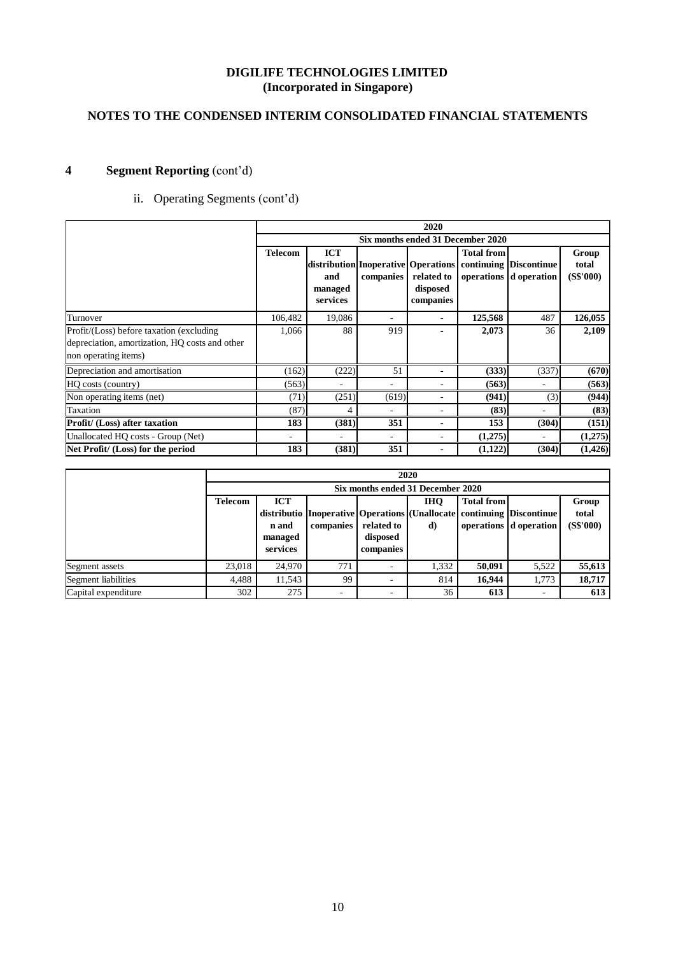# **NOTES TO THE CONDENSED INTERIM CONSOLIDATED FINANCIAL STATEMENTS**

# **4 Segment Reporting** (cont'd)

# ii. Operating Segments (cont'd)

|                                                                        |                |                                          |                                                  | 2020                                |                   |                                                  |                             |
|------------------------------------------------------------------------|----------------|------------------------------------------|--------------------------------------------------|-------------------------------------|-------------------|--------------------------------------------------|-----------------------------|
|                                                                        |                |                                          |                                                  | Six months ended 31 December 2020   |                   |                                                  |                             |
|                                                                        | <b>Telecom</b> | <b>ICT</b><br>and<br>managed<br>services | distribution Inoperative Operations<br>companies | related to<br>disposed<br>companies | <b>Total from</b> | continuing Discontinue<br>operations d operation | Group<br>total<br>(S\$'000) |
| Turnover                                                               | 106,482        | 19,086                                   |                                                  |                                     | 125,568           | 487                                              | 126,055                     |
| Profit/(Loss) before taxation (excluding                               | 1,066          | 88                                       | 919                                              |                                     | 2,073             | 36                                               | 2,109                       |
| depreciation, amortization, HQ costs and other<br>non operating items) |                |                                          |                                                  |                                     |                   |                                                  |                             |
| Depreciation and amortisation                                          | (162)          | (222)                                    | 51                                               |                                     | (333)             | (337)                                            | (670)                       |
| HQ costs (country)                                                     | (563)          |                                          | ۰                                                |                                     | (563)             |                                                  | (563)                       |
| Non operating items (net)                                              | (71)           | (251)                                    | (619)                                            |                                     | (941)             | (3)                                              | (944)                       |
| Taxation                                                               | (87)           | 4                                        |                                                  | ٠                                   | (83)              | $\overline{\phantom{0}}$                         | (83)                        |
| Profit/ (Loss) after taxation                                          | 183            | (381)                                    | 351                                              | $\blacksquare$                      | 153               | (304)                                            | (151)                       |
| Unallocated HO costs - Group (Net)                                     |                |                                          | $\overline{\phantom{0}}$                         |                                     | (1,275)           |                                                  | (1,275)                     |
| Net Profit/ (Loss) for the period                                      | 183            | (381)                                    | 351                                              |                                     | (1,122)           | (304)                                            | (1,426)                     |

|                     |                | 2020                              |                                                      |                          |            |                   |                          |           |  |  |  |
|---------------------|----------------|-----------------------------------|------------------------------------------------------|--------------------------|------------|-------------------|--------------------------|-----------|--|--|--|
|                     |                | Six months ended 31 December 2020 |                                                      |                          |            |                   |                          |           |  |  |  |
|                     | <b>Telecom</b> | <b>ICT</b>                        |                                                      |                          | <b>IHO</b> | <b>Total from</b> |                          | Group     |  |  |  |
|                     |                |                                   | distributio   Inoperative   Operations   (Unallocate |                          |            |                   | continuing Discontinue   | total     |  |  |  |
|                     |                | n and                             | companies                                            | related to               | d)         |                   | operations d operation   | (S\$'000) |  |  |  |
|                     |                | managed                           |                                                      | disposed                 |            |                   |                          |           |  |  |  |
|                     |                | services                          |                                                      | companies                |            |                   |                          |           |  |  |  |
| Segment assets      | 23,018         | 24,970                            | 771                                                  |                          | 1,332      | 50,091            | 5,522                    | 55,613    |  |  |  |
| Segment liabilities | 4,488          | 11,543                            | 99                                                   | $\overline{\phantom{a}}$ | 814        | 16.944            | 1.773                    | 18,717    |  |  |  |
| Capital expenditure | 302            | 275                               | -                                                    | <b>1</b>                 | 36         | 613               | $\overline{\phantom{a}}$ | 613       |  |  |  |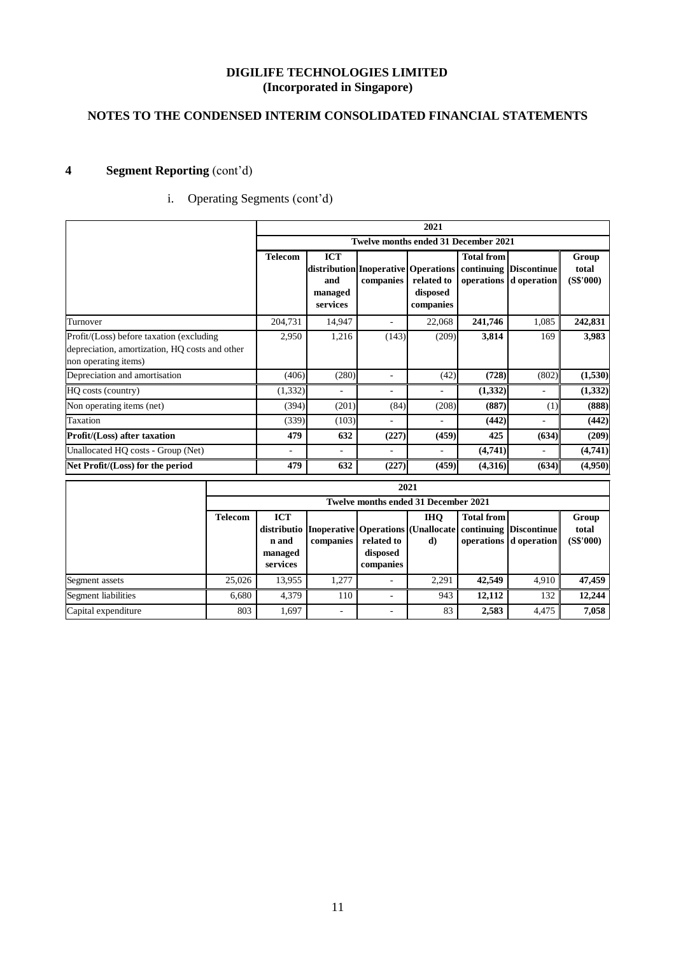# **NOTES TO THE CONDENSED INTERIM CONSOLIDATED FINANCIAL STATEMENTS**

# **4 Segment Reporting** (cont'd)

# i. Operating Segments (cont'd)

|                                                                                                                    |                |                                                                                       |                          | 2021                                        |                   |                                                  |                             |
|--------------------------------------------------------------------------------------------------------------------|----------------|---------------------------------------------------------------------------------------|--------------------------|---------------------------------------------|-------------------|--------------------------------------------------|-----------------------------|
|                                                                                                                    |                |                                                                                       |                          | <b>Twelve months ended 31 December 2021</b> |                   |                                                  |                             |
|                                                                                                                    | <b>Telecom</b> | <b>ICT</b><br>  distribution  Inoperative  Operations  <br>and<br>managed<br>services | companies                | related to<br>disposed<br>companies         | <b>Total from</b> | continuing Discontinue<br>operations d operation | Group<br>total<br>(S\$'000) |
| Turnover                                                                                                           | 204,731        | 14,947                                                                                |                          | 22,068                                      | 241,746           | 1,085                                            | 242,831                     |
| Profit/(Loss) before taxation (excluding<br>depreciation, amortization, HQ costs and other<br>non operating items) | 2,950          | 1,216                                                                                 | (143)                    | (209)                                       | 3,814             | 169                                              | 3,983                       |
| Depreciation and amortisation                                                                                      | (406)          | (280)                                                                                 |                          | (42)                                        | (728)             | (802)                                            | (1,530)                     |
| HQ costs (country)                                                                                                 | (1, 332)       | $\overline{\phantom{0}}$                                                              | $\overline{\phantom{a}}$ | ٠                                           | (1,332)           | $\overline{a}$                                   | (1, 332)                    |
| Non operating items (net)                                                                                          | (394)          | (201)                                                                                 | (84)                     | (208)                                       | (887)             | (1)                                              | (888)                       |
| Taxation                                                                                                           | (339)          | (103)                                                                                 | $\overline{\phantom{a}}$ | $\overline{\phantom{a}}$                    | (442)             | ٠                                                | (442)                       |
| <b>Profit/(Loss)</b> after taxation                                                                                | 479            | 632                                                                                   | (227)                    | (459)                                       | 425               | (634)                                            | (209)                       |
| Unallocated HQ costs - Group (Net)                                                                                 | ٠              | $\overline{\phantom{0}}$                                                              | ٠                        | ÷                                           | (4,741)           | ٠                                                | (4,741)                     |
| Net Profit/(Loss) for the period                                                                                   | 479            | 632                                                                                   | (227)                    | (459)                                       | (4,316)           | (634)                                            | (4,950)                     |

|                     |                | 2021                                        |           |                                     |                  |                   |                                                                                                               |                             |  |  |  |  |
|---------------------|----------------|---------------------------------------------|-----------|-------------------------------------|------------------|-------------------|---------------------------------------------------------------------------------------------------------------|-----------------------------|--|--|--|--|
|                     |                | <b>Twelve months ended 31 December 2021</b> |           |                                     |                  |                   |                                                                                                               |                             |  |  |  |  |
|                     | <b>Telecom</b> | <b>ICT</b><br>n and<br>managed<br>services  | companies | related to<br>disposed<br>companies | <b>IHO</b><br>d) | <b>Total from</b> | distributio   Inoperative   Operations   (Unallocate   continuing   Discontinue  <br>operations   d operation | Group<br>total<br>(S\$'000) |  |  |  |  |
| Segment assets      | 25,026         | 13,955                                      | 1.277     |                                     | 2.291            | 42,549            | 4,910                                                                                                         | 47,459                      |  |  |  |  |
| Segment liabilities | 6.680          | 4.379                                       | 110       |                                     | 943              | 12,112            | 132                                                                                                           | 12,244                      |  |  |  |  |
| Capital expenditure | 803            | 1,697                                       |           | $\overline{\phantom{a}}$            | 83               | 2,583             | 4,475                                                                                                         | 7,058                       |  |  |  |  |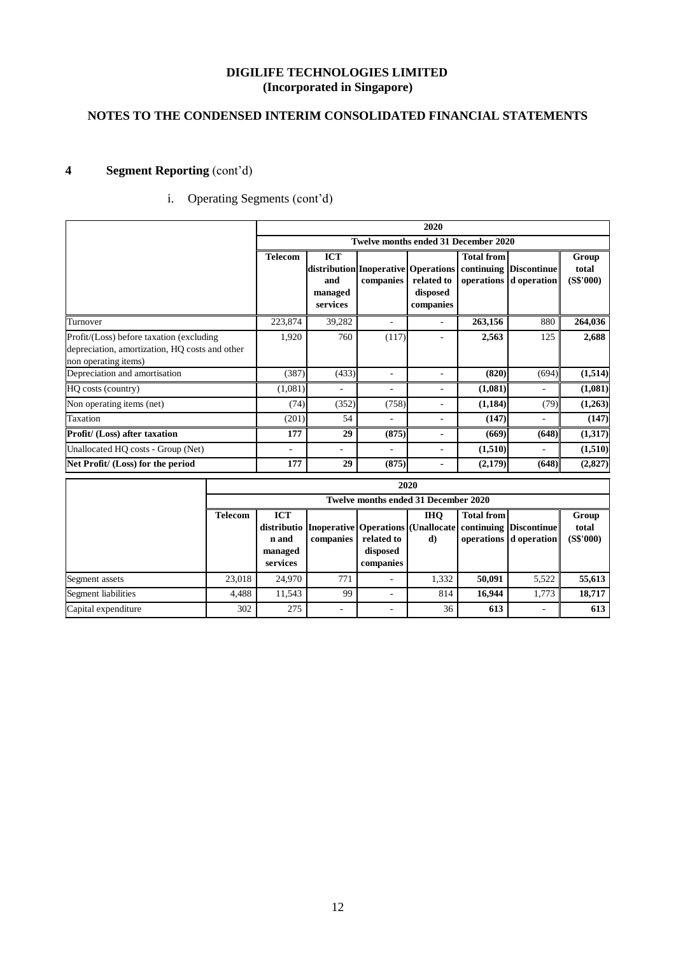# **NOTES TO THE CONDENSED INTERIM CONSOLIDATED FINANCIAL STATEMENTS**

# **4 Segment Reporting** (cont'd)

# i. Operating Segments (cont'd)

|                                                                                                                    |                |                                               |                                                                                     |                          | 2020                                                           |                                 |                                       |                             |
|--------------------------------------------------------------------------------------------------------------------|----------------|-----------------------------------------------|-------------------------------------------------------------------------------------|--------------------------|----------------------------------------------------------------|---------------------------------|---------------------------------------|-----------------------------|
|                                                                                                                    |                |                                               |                                                                                     |                          | <b>Twelve months ended 31 December 2020</b>                    |                                 |                                       |                             |
|                                                                                                                    |                | <b>Telecom</b>                                | <b>ICT</b><br>distribution Inoperative   Operations  <br>and<br>managed<br>services | companies                | related to<br>disposed<br>companies                            | <b>Total from</b><br>operations | continuing Discontinue<br>d operation | Group<br>total<br>(S\$'000) |
| Turnover                                                                                                           |                | 223,874                                       | 39,282                                                                              | $\overline{\phantom{a}}$ | $\overline{a}$                                                 | 263,156                         | 880                                   | 264,036                     |
| Profit/(Loss) before taxation (excluding<br>depreciation, amortization, HO costs and other<br>non operating items) |                | 1,920                                         | 760                                                                                 | (117)                    | $\overline{\phantom{a}}$                                       | 2,563                           | 125                                   | 2,688                       |
| Depreciation and amortisation                                                                                      |                | (387)                                         | (433)                                                                               | $\overline{\phantom{a}}$ | $\overline{\phantom{a}}$                                       | (820)                           | (694)                                 | (1, 514)                    |
| HO costs (country)                                                                                                 |                | (1,081)                                       |                                                                                     | $\overline{\phantom{a}}$ |                                                                | (1,081)                         |                                       | (1,081)                     |
| Non operating items (net)                                                                                          |                | (74)                                          | (352)                                                                               | (758)                    | $\overline{\phantom{a}}$                                       | (1,184)                         | (79)                                  | (1,263)                     |
| Taxation                                                                                                           |                | (201)                                         | 54                                                                                  | $\overline{a}$           | ٠                                                              | (147)                           | $\overline{a}$                        | (147)                       |
| Profit/ (Loss) after taxation                                                                                      |                | 177                                           | 29                                                                                  | (875)                    | ٠                                                              | (669)                           | (648)                                 | (1,317)                     |
| Unallocated HO costs - Group (Net)                                                                                 |                | -                                             | ٠                                                                                   | ٠                        | $\overline{\phantom{a}}$                                       | (1,510)                         |                                       | (1,510)                     |
| Net Profit/ (Loss) for the period                                                                                  |                | 177                                           | 29                                                                                  | (875)                    | $\blacksquare$                                                 | (2,179)                         | (648)                                 | (2,827)                     |
|                                                                                                                    |                |                                               |                                                                                     |                          | 2020                                                           |                                 |                                       |                             |
|                                                                                                                    |                |                                               |                                                                                     |                          | Twelve months ended 31 December 2020                           |                                 |                                       |                             |
|                                                                                                                    | <b>Telecom</b> | <b>ICT</b><br>distributio<br>n and<br>managed | companies                                                                           | related to<br>disposed   | <b>IHQ</b><br><b>Inoperative Operations (Unallocate)</b><br>d) | <b>Total from</b><br>operations | continuing Discontinue<br>d operation | Group<br>total<br>(S\$'000) |

**Segment assets** 23,018 24,970 771 - 1,332 **50,091** 5,522 **55,613** Segment liabilities **199 - 814** 16,944 1,773 18,717 Capital expenditure **1** 302 275 - 36 **613** - 613

**companies** 

**services**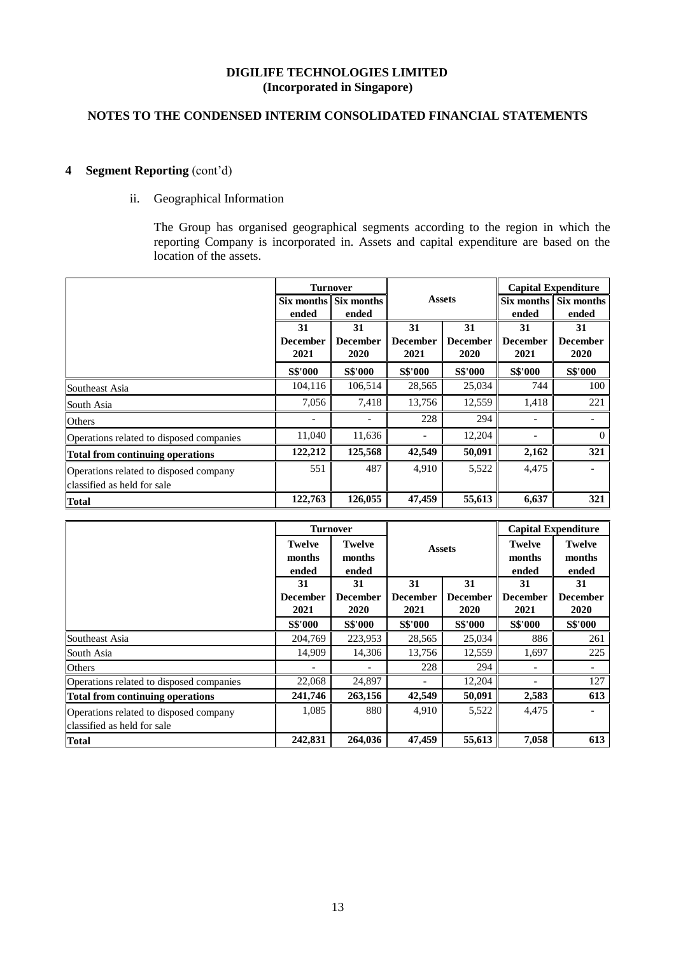# **NOTES TO THE CONDENSED INTERIM CONSOLIDATED FINANCIAL STATEMENTS**

# **4 Segment Reporting** (cont'd)

## ii. Geographical Information

The Group has organised geographical segments according to the region in which the reporting Company is incorporated in. Assets and capital expenditure are based on the location of the assets.

|                                          |                 | <b>Turnover</b> |                 |                 |                          | <b>Capital Expenditure</b> |
|------------------------------------------|-----------------|-----------------|-----------------|-----------------|--------------------------|----------------------------|
|                                          | Six months      | Six months      |                 | <b>Assets</b>   | Six months               | Six months                 |
|                                          | ended           | ended           |                 |                 | ended                    | ended                      |
|                                          | 31              | 31              | 31              | 31              | 31                       | 31                         |
|                                          | <b>December</b> | <b>December</b> | <b>December</b> | <b>December</b> | <b>December</b>          | <b>December</b>            |
|                                          | 2021            | 2020            | 2021            | 2020            | 2021                     | 2020                       |
|                                          | <b>S\$'000</b>  | <b>S\$'000</b>  | <b>S\$'000</b>  | <b>S\$'000</b>  | <b>S\$'000</b>           | S\$'000                    |
| Southeast Asia                           | 104,116         | 106,514         | 28,565          | 25,034          | 744                      | 100                        |
| South Asia                               | 7,056           | 7,418           | 13,756          | 12,559          | 1,418                    | 221                        |
| <b>Others</b>                            |                 |                 | 228             | 294             |                          |                            |
| Operations related to disposed companies | 11,040          | 11,636          |                 | 12,204          | $\overline{\phantom{a}}$ | $\Omega$                   |
| <b>Total from continuing operations</b>  | 122,212         | 125,568         | 42,549          | 50,091          | 2,162                    | 321                        |
| Operations related to disposed company   | 551             | 487             | 4,910           | 5,522           | 4,475                    |                            |
| classified as held for sale              |                 |                 |                 |                 |                          |                            |
| <b>Total</b>                             | 122,763         | 126,055         | 47,459          | 55,613          | 6,637                    | 321                        |

|                                                                       |                                  | <b>Turnover</b>                  |                                                    |                |                                  | <b>Capital Expenditure</b>       |
|-----------------------------------------------------------------------|----------------------------------|----------------------------------|----------------------------------------------------|----------------|----------------------------------|----------------------------------|
|                                                                       | <b>Twelve</b><br>months<br>ended | <b>Twelve</b><br>months<br>ended |                                                    | <b>Assets</b>  | <b>Twelve</b><br>months<br>ended | <b>Twelve</b><br>months<br>ended |
|                                                                       | 31                               | 31                               | 31                                                 | 31             | 31                               | 31                               |
|                                                                       | <b>December</b><br>2021          | <b>December</b><br>2020          | <b>December</b><br><b>December</b><br>2020<br>2021 |                | <b>December</b><br>2021          | <b>December</b><br>2020          |
|                                                                       | <b>S\$'000</b>                   | <b>S\$'000</b>                   | <b>S\$'000</b>                                     | <b>S\$'000</b> | <b>S\$'000</b>                   | S\$'000                          |
| Southeast Asia                                                        | 204,769                          | 223,953                          | 28,565                                             | 25,034         | 886                              | 261                              |
| South Asia                                                            | 14,909                           | 14,306                           | 13,756                                             | 12,559         | 1,697                            | 225                              |
| <b>Others</b>                                                         |                                  |                                  | 228                                                | 294            | $\overline{\phantom{a}}$         |                                  |
| Operations related to disposed companies                              | 22,068                           | 24,897                           |                                                    | 12,204         |                                  | 127                              |
| <b>Total from continuing operations</b>                               | 241,746                          | 263,156                          | 42,549                                             | 50,091         | 2,583                            | 613                              |
| Operations related to disposed company<br>classified as held for sale | 1.085                            | 880                              | 4.910                                              | 5,522          | 4,475                            |                                  |
| <b>Total</b>                                                          | 242,831                          | 264,036                          | 47,459                                             | 55,613         | 7,058                            | 613                              |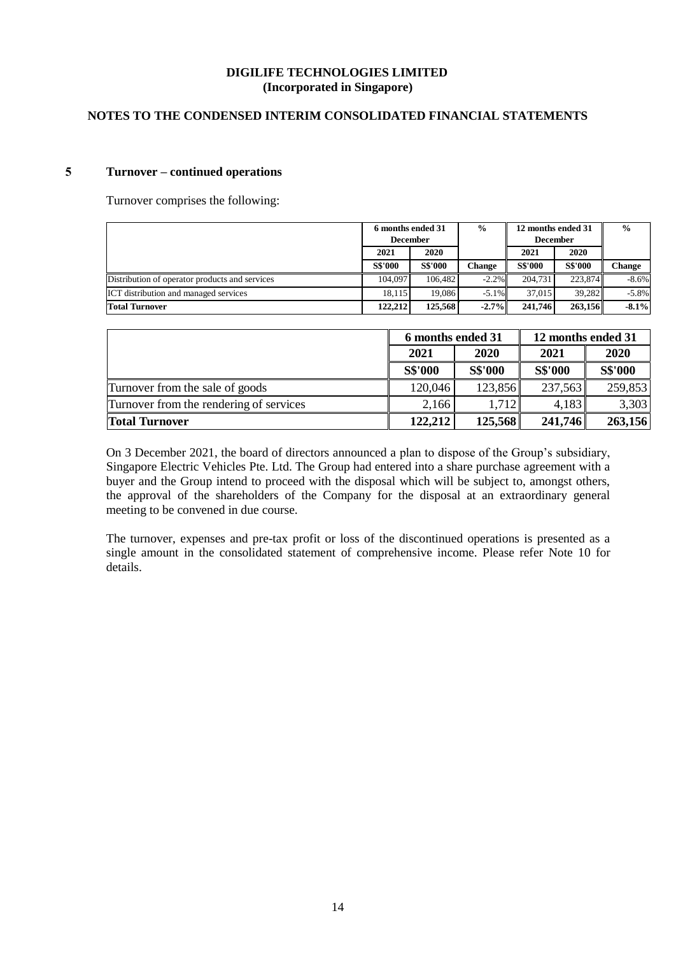## **NOTES TO THE CONDENSED INTERIM CONSOLIDATED FINANCIAL STATEMENTS**

## **5 Turnover – continued operations**

Turnover comprises the following:

|                                                | 6 months ended 31 |                |          |                 | $\frac{0}{0}$<br>12 months ended 31 |          |  |  | $\frac{6}{6}$ |
|------------------------------------------------|-------------------|----------------|----------|-----------------|-------------------------------------|----------|--|--|---------------|
|                                                | <b>December</b>   |                |          | <b>December</b> |                                     |          |  |  |               |
|                                                | 2021              | 2020           |          | 2021            | 2020                                |          |  |  |               |
|                                                | <b>S\$'000</b>    | <b>S\$'000</b> | Change   | <b>S\$'000</b>  | <b>S\$'000</b>                      | Change   |  |  |               |
| Distribution of operator products and services | 104.097           | 106.482        | $-2.2\%$ | 204.731         | 223.874                             | $-8.6%$  |  |  |               |
| <b>ICT</b> distribution and managed services   | 18.115            | 19.086         | $-5.1\%$ | 37.015          | 39.282                              | $-5.8\%$ |  |  |               |
| <b>Total Turnover</b>                          | 122,212           | 125,568        | $-2.7%$  | 241,746         | 263.156                             | $-8.1%$  |  |  |               |

|                                         | 6 months ended 31 |                | 12 months ended 31 |         |
|-----------------------------------------|-------------------|----------------|--------------------|---------|
|                                         | 2020<br>2021      |                | 2021               | 2020    |
|                                         | <b>S\$'000</b>    | <b>S\$'000</b> | S\$'000            | S\$'000 |
| Turnover from the sale of goods         | 120,046           | 123,856        | 237,563            | 259,853 |
| Turnover from the rendering of services | 2,166             | 1,712          | 4,183              | 3,303   |
| <b>Total Turnover</b>                   | 122,212           | 125,568        | 241,746            | 263,156 |

On 3 December 2021, the board of directors announced a plan to dispose of the Group's subsidiary, Singapore Electric Vehicles Pte. Ltd. The Group had entered into a share purchase agreement with a buyer and the Group intend to proceed with the disposal which will be subject to, amongst others, the approval of the shareholders of the Company for the disposal at an extraordinary general meeting to be convened in due course.

The turnover, expenses and pre-tax profit or loss of the discontinued operations is presented as a single amount in the consolidated statement of comprehensive income. Please refer Note 10 for details.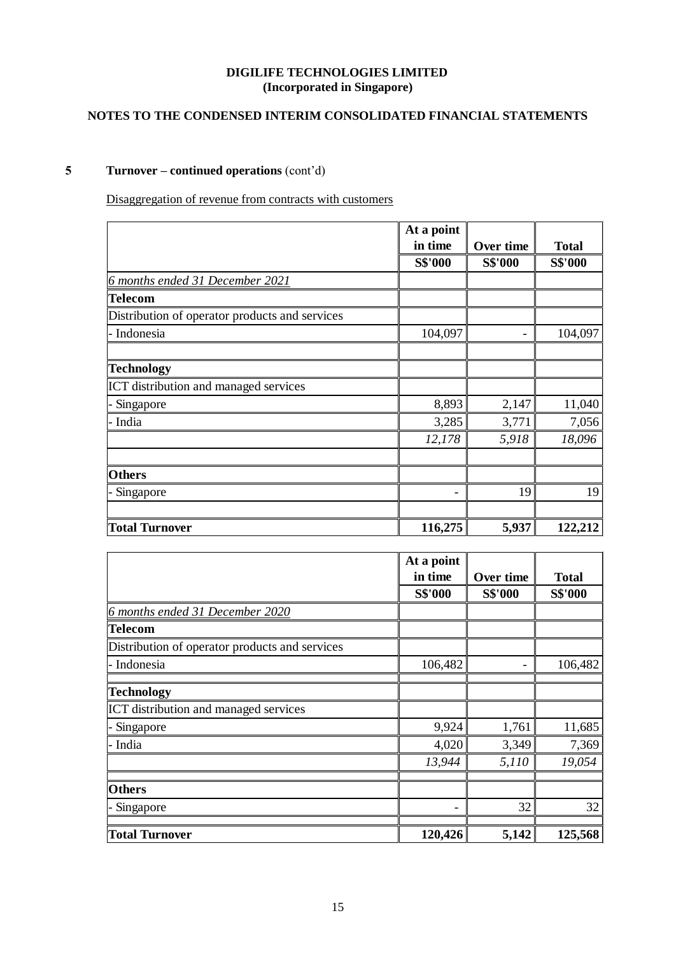# **NOTES TO THE CONDENSED INTERIM CONSOLIDATED FINANCIAL STATEMENTS**

# **5 Turnover – continued operations** (cont'd)

Disaggregation of revenue from contracts with customers

|                                                | At a point     |                |                |
|------------------------------------------------|----------------|----------------|----------------|
|                                                | in time        | Over time      | <b>Total</b>   |
|                                                | <b>S\$'000</b> | <b>S\$'000</b> | <b>S\$'000</b> |
| 6 months ended 31 December 2021                |                |                |                |
| <b>Telecom</b>                                 |                |                |                |
| Distribution of operator products and services |                |                |                |
| - Indonesia                                    | 104,097        |                | 104,097        |
|                                                |                |                |                |
| <b>Technology</b>                              |                |                |                |
| ICT distribution and managed services          |                |                |                |
| Singapore                                      | 8,893          | 2,147          | 11,040         |
| - India                                        | 3,285          | 3,771          | 7,056          |
|                                                | 12,178         | 5,918          | 18,096         |
|                                                |                |                |                |
| <b>Others</b>                                  |                |                |                |
| Singapore                                      |                | 19             | 19             |
|                                                |                |                |                |
| <b>Total Turnover</b>                          | 116,275        | 5,937          | 122,212        |

|                                                | At a point |                |                |
|------------------------------------------------|------------|----------------|----------------|
|                                                | in time    | Over time      | <b>Total</b>   |
|                                                | S\$'000    | <b>S\$'000</b> | <b>S\$'000</b> |
| 6 months ended 31 December 2020                |            |                |                |
| <b>Telecom</b>                                 |            |                |                |
| Distribution of operator products and services |            |                |                |
| - Indonesia                                    | 106,482    |                | 106,482        |
| <b>Technology</b>                              |            |                |                |
| <b>ICT</b> distribution and managed services   |            |                |                |
| Singapore                                      | 9,924      | 1,761          | 11,685         |
| - India                                        | 4,020      | 3,349          | 7,369          |
|                                                | 13,944     | 5,110          | 19,054         |
| <b>Others</b>                                  |            |                |                |
| Singapore                                      |            | 32             | 32             |
| <b>Total Turnover</b>                          | 120,426    | 5,142          | 125,568        |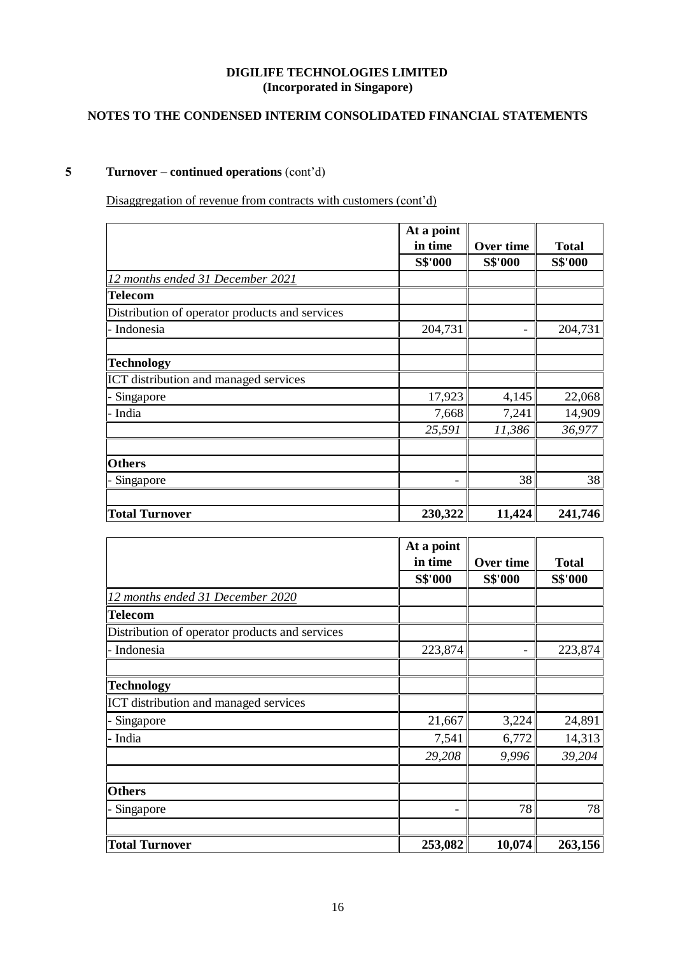# **NOTES TO THE CONDENSED INTERIM CONSOLIDATED FINANCIAL STATEMENTS**

# **5 Turnover – continued operations** (cont'd)

Disaggregation of revenue from contracts with customers (cont'd)

|                                                | At a point |           |              |
|------------------------------------------------|------------|-----------|--------------|
|                                                | in time    | Over time | <b>Total</b> |
|                                                | S\$'000    | S\$'000   | S\$'000      |
| 12 months ended 31 December 2021               |            |           |              |
| <b>Telecom</b>                                 |            |           |              |
| Distribution of operator products and services |            |           |              |
| - Indonesia                                    | 204,731    |           | 204,731      |
| <b>Technology</b>                              |            |           |              |
| ICT distribution and managed services          |            |           |              |
| Singapore                                      | 17,923     | 4,145     | 22,068       |
| - India                                        | 7,668      | 7,241     | 14,909       |
|                                                | 25,591     | 11,386    | 36,977       |
| <b>Others</b>                                  |            |           |              |
| Singapore                                      |            | 38        | 38           |
| <b>Total Turnover</b>                          | 230,322    | 11,424    | 241,746      |

|                                                | At a point     |                |                |
|------------------------------------------------|----------------|----------------|----------------|
|                                                | in time        | Over time      | <b>Total</b>   |
|                                                | <b>S\$'000</b> | <b>S\$'000</b> | <b>S\$'000</b> |
| 12 months ended 31 December 2020               |                |                |                |
| <b>Telecom</b>                                 |                |                |                |
| Distribution of operator products and services |                |                |                |
| - Indonesia                                    | 223,874        |                | 223,874        |
| <b>Technology</b>                              |                |                |                |
| ICT distribution and managed services          |                |                |                |
| Singapore                                      | 21,667         | 3,224          | 24,891         |
| - India                                        | 7,541          | 6,772          | 14,313         |
|                                                | 29,208         | 9,996          | 39,204         |
| <b>Others</b>                                  |                |                |                |
| Singapore                                      |                | 78             | 78             |
| <b>Total Turnover</b>                          | 253,082        | 10,074         | 263,156        |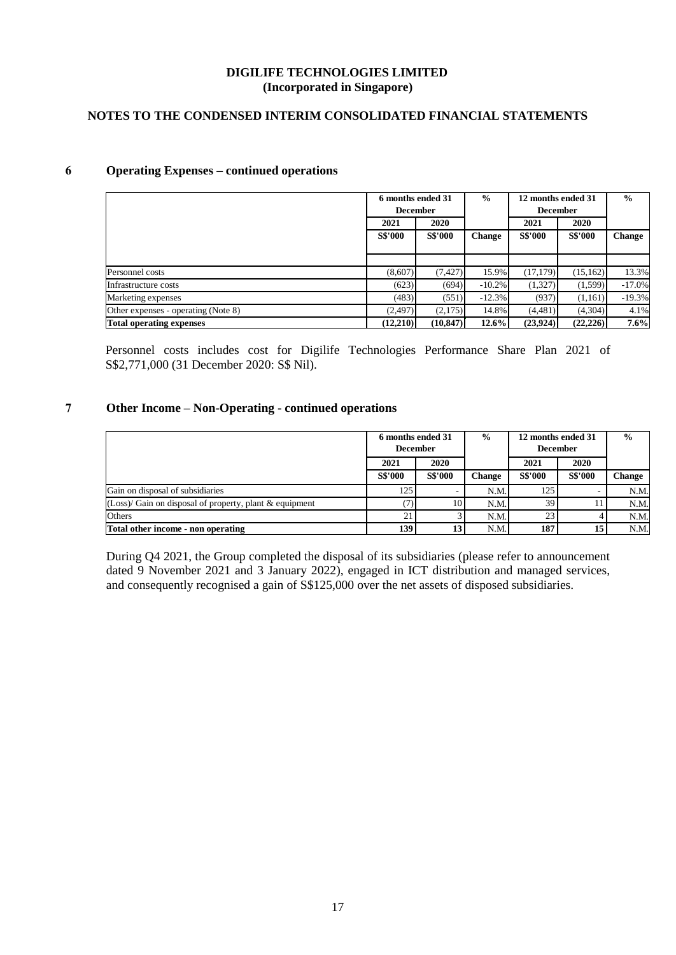# **NOTES TO THE CONDENSED INTERIM CONSOLIDATED FINANCIAL STATEMENTS**

## **6 Operating Expenses – continued operations**

|                                     | $\frac{0}{0}$<br>6 months ended 31 |                |               | 12 months ended 31 |                | $\frac{0}{0}$ |
|-------------------------------------|------------------------------------|----------------|---------------|--------------------|----------------|---------------|
|                                     | <b>December</b>                    |                |               | <b>December</b>    |                |               |
|                                     | 2021                               | 2020           |               | 2021               | 2020           |               |
|                                     | <b>S\$'000</b>                     | <b>S\$'000</b> | <b>Change</b> | <b>S\$'000</b>     | <b>S\$'000</b> | <b>Change</b> |
|                                     |                                    |                |               |                    |                |               |
|                                     |                                    |                |               |                    |                |               |
| Personnel costs                     | (8.607)                            | (7, 427)       | 15.9%         | (17,179)           | (15, 162)      | 13.3%         |
| Infrastructure costs                | (623)                              | (694)          | $-10.2%$      | (1,327)            | (1,599)        | $-17.0%$      |
| Marketing expenses                  | (483)                              | (551)          | $-12.3\%$     | (937)              | (1,161)        | $-19.3%$      |
| Other expenses - operating (Note 8) | (2,497)                            | (2,175)        | 14.8%         | (4,481)            | (4,304)        | 4.1%          |
| <b>Total operating expenses</b>     | (12,210)                           | (10, 847)      | $12.6\%$      | (23,924)           | (22, 226)      | 7.6%          |

Personnel costs includes cost for Digilife Technologies Performance Share Plan 2021 of S\$2,771,000 (31 December 2020: S\$ Nil).

## **7 Other Income – Non-Operating - continued operations**

|                                                          | 6 months ended 31<br><b>December</b> |                | $\frac{6}{9}$ | 12 months ended 31<br><b>December</b> |                | $\frac{0}{0}$ |
|----------------------------------------------------------|--------------------------------------|----------------|---------------|---------------------------------------|----------------|---------------|
|                                                          | 2021                                 | 2020           |               | 2021                                  | 2020           |               |
|                                                          | <b>S\$'000</b>                       | <b>S\$'000</b> | Change        | <b>S\$'000</b>                        | <b>S\$'000</b> | <b>Change</b> |
| Gain on disposal of subsidiaries                         | 125                                  |                | N.M.          | 125                                   |                | N.M.          |
| $(Loss)$ Gain on disposal of property, plant & equipment |                                      | 10             | N.M.          | 391                                   |                | N.M.          |
| Others                                                   |                                      |                | N.M.          | 23                                    |                | N.M.          |
| Total other income - non operating                       | 139                                  | 13             | N.M.          | 187                                   | 15             | N.M.          |

During Q4 2021, the Group completed the disposal of its subsidiaries (please refer to announcement dated 9 November 2021 and 3 January 2022), engaged in ICT distribution and managed services, and consequently recognised a gain of S\$125,000 over the net assets of disposed subsidiaries.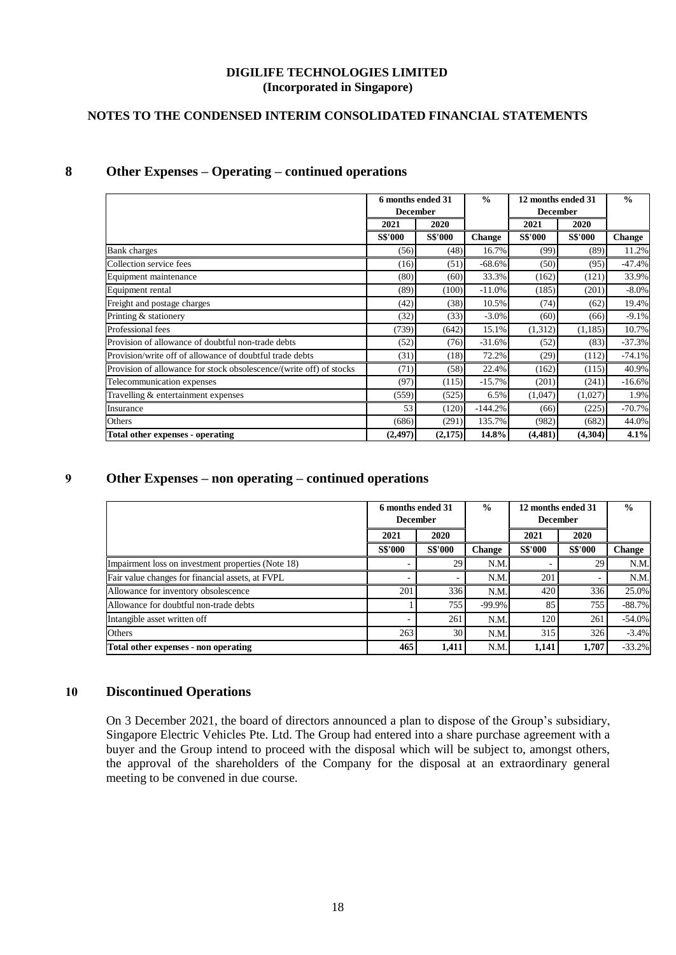# **NOTES TO THE CONDENSED INTERIM CONSOLIDATED FINANCIAL STATEMENTS**

# **8 Other Expenses – Operating – continued operations**

|                                                                     | 6 months ended 31<br><b>December</b> |                |               |                | $\frac{0}{0}$  | 12 months ended 31<br><b>December</b> |  | $\frac{0}{0}$ |
|---------------------------------------------------------------------|--------------------------------------|----------------|---------------|----------------|----------------|---------------------------------------|--|---------------|
|                                                                     | 2021                                 | 2020           |               | 2021           | 2020           |                                       |  |               |
|                                                                     | <b>S\$'000</b>                       | <b>S\$'000</b> | <b>Change</b> | <b>S\$'000</b> | <b>S\$'000</b> | <b>Change</b>                         |  |               |
| <b>Bank</b> charges                                                 | (56)                                 | (48)           | 16.7%         | (99)           | (89)           | 11.2%                                 |  |               |
| Collection service fees                                             | (16)                                 | (51)           | $-68.6%$      | (50)           | (95)           | $-47.4%$                              |  |               |
| Equipment maintenance                                               | (80)                                 | (60)           | 33.3%         | (162)          | (121)          | 33.9%                                 |  |               |
| Equipment rental                                                    | (89)                                 | (100)          | $-11.0%$      | (185)          | (201)          | $-8.0\%$                              |  |               |
| Freight and postage charges                                         | (42)                                 | (38)           | 10.5%         | (74)           | (62)           | 19.4%                                 |  |               |
| Printing & stationery                                               | (32)                                 | (33)           | $-3.0\%$      | (60)           | (66)           | $-9.1%$                               |  |               |
| Professional fees                                                   | (739)                                | (642)          | 15.1%         | (1,312)        | (1,185)        | 10.7%                                 |  |               |
| Provision of allowance of doubtful non-trade debts                  | (52)                                 | (76)           | $-31.6%$      | (52)           | (83)           | $-37.3%$                              |  |               |
| Provision/write off of allowance of doubtful trade debts            | (31)                                 | (18)           | 72.2%         | (29)           | (112)          | $-74.1%$                              |  |               |
| Provision of allowance for stock obsolescence/(write off) of stocks | (71)                                 | (58)           | 22.4%         | (162)          | (115)          | 40.9%                                 |  |               |
| Telecommunication expenses                                          | (97)                                 | (115)          | $-15.7%$      | (201)          | (241)          | $-16.6%$                              |  |               |
| Travelling & entertainment expenses                                 | (559)                                | (525)          | 6.5%          | (1,047)        | (1,027)        | 1.9%                                  |  |               |
| Insurance                                                           | 53                                   | (120)          | $-144.2%$     | (66)           | (225)          | $-70.7%$                              |  |               |
| Others                                                              | (686)                                | (291)          | 135.7%        | (982)          | (682)          | 44.0%                                 |  |               |
| <b>Total other expenses - operating</b>                             | (2, 497)                             | (2,175)        | 14.8%         | (4, 481)       | (4,304)        | 4.1%                                  |  |               |

# **9 Other Expenses – non operating – continued operations**

|                                                    |                | 6 months ended 31<br><b>December</b> |               | 12 months ended 31<br><b>December</b> |                | $\frac{0}{0}$ |
|----------------------------------------------------|----------------|--------------------------------------|---------------|---------------------------------------|----------------|---------------|
|                                                    | 2021           | 2020                                 |               | 2021                                  | 2020           |               |
|                                                    | <b>S\$'000</b> | <b>S\$'000</b>                       | <b>Change</b> | <b>S\$'000</b>                        | <b>S\$'000</b> | <b>Change</b> |
| Impairment loss on investment properties (Note 18) |                | 29                                   | N.M.          |                                       | 29             | N.M.          |
| Fair value changes for financial assets, at FVPL   | -              |                                      | N.M.          | 201                                   |                | N.M.          |
| Allowance for inventory obsolescence               | 201            | 336                                  | N.M.          | 420                                   | 336            | 25.0%         |
| Allowance for doubtful non-trade debts             |                | 755                                  | $-99.9\%$     | 85                                    | 755            | $-88.7%$      |
| Intangible asset written off                       |                | 261                                  | N.M.          | 120                                   | 261            | $-54.0\%$     |
| Others                                             | 263            | 30                                   | N.M.          | 315                                   | 326            | $-3.4%$       |
| Total other expenses - non operating               | 465            | 1.411                                | N.M.          | 1.141                                 | 1.707          | $-33.2%$      |

### **10 Discontinued Operations**

On 3 December 2021, the board of directors announced a plan to dispose of the Group's subsidiary, Singapore Electric Vehicles Pte. Ltd. The Group had entered into a share purchase agreement with a buyer and the Group intend to proceed with the disposal which will be subject to, amongst others, the approval of the shareholders of the Company for the disposal at an extraordinary general meeting to be convened in due course.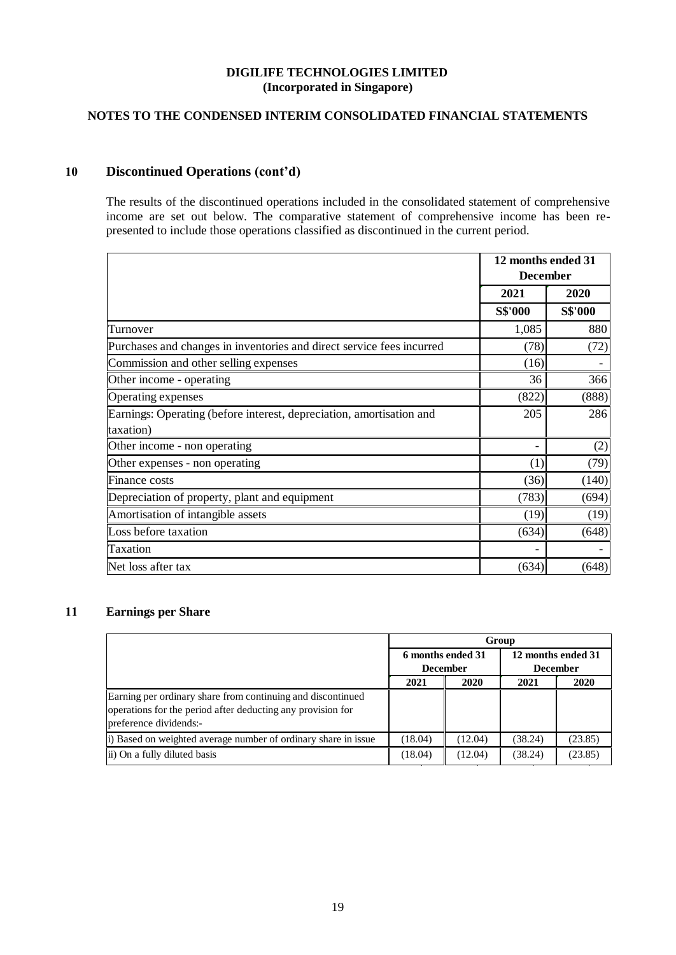# **NOTES TO THE CONDENSED INTERIM CONSOLIDATED FINANCIAL STATEMENTS**

# **10 Discontinued Operations (cont'd)**

The results of the discontinued operations included in the consolidated statement of comprehensive income are set out below. The comparative statement of comprehensive income has been represented to include those operations classified as discontinued in the current period.

|                                                                       | 12 months ended 31<br><b>December</b> |                |
|-----------------------------------------------------------------------|---------------------------------------|----------------|
|                                                                       | 2021                                  | 2020           |
|                                                                       | <b>S\$'000</b>                        | <b>S\$'000</b> |
| Turnover                                                              | 1,085                                 | 880            |
| Purchases and changes in inventories and direct service fees incurred | (78)                                  | (72)           |
| Commission and other selling expenses                                 | (16)                                  |                |
| Other income - operating                                              | 36                                    | 366            |
| Operating expenses                                                    | (822)                                 | (888)          |
| Earnings: Operating (before interest, depreciation, amortisation and  | 205                                   | 286            |
| taxation)                                                             |                                       |                |
| Other income - non operating                                          |                                       | (2)            |
| Other expenses - non operating                                        | (1)                                   | (79)           |
| Finance costs                                                         | (36)                                  | (140)          |
| Depreciation of property, plant and equipment                         | (783)                                 | (694)          |
| Amortisation of intangible assets                                     | (19)                                  | (19)           |
| Loss before taxation                                                  | (634)                                 | (648)          |
| <b>Taxation</b>                                                       |                                       |                |
| Net loss after tax                                                    | (634)                                 | (648)          |

## **11 Earnings per Share**

|                                                                                                                                                      | Group                                                |         |                                       |             |  |  |
|------------------------------------------------------------------------------------------------------------------------------------------------------|------------------------------------------------------|---------|---------------------------------------|-------------|--|--|
|                                                                                                                                                      | 6 months ended 31<br><b>December</b><br>2020<br>2021 |         | 12 months ended 31<br><b>December</b> |             |  |  |
|                                                                                                                                                      |                                                      |         | 2021                                  | <b>2020</b> |  |  |
| Earning per ordinary share from continuing and discontinued<br>operations for the period after deducting any provision for<br>preference dividends:- |                                                      |         |                                       |             |  |  |
| i) Based on weighted average number of ordinary share in issue                                                                                       | (18.04)                                              | (12.04) | (38.24)                               | (23.85)     |  |  |
| ii) On a fully diluted basis                                                                                                                         | (18.04)                                              | (12.04) | (38.24)                               | (23.85)     |  |  |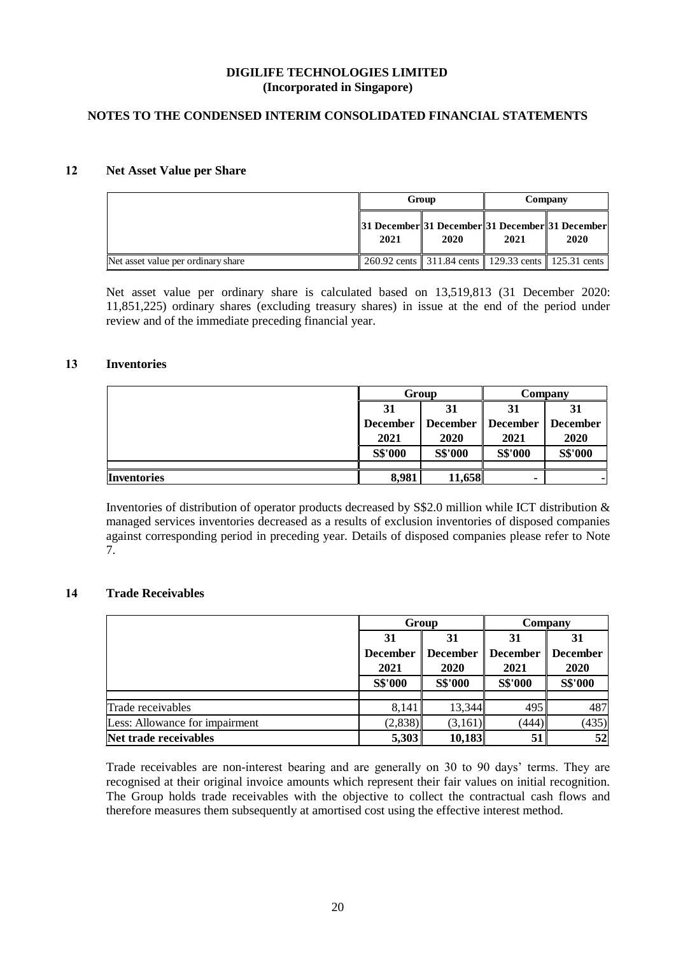## **NOTES TO THE CONDENSED INTERIM CONSOLIDATED FINANCIAL STATEMENTS**

### **12 Net Asset Value per Share**

|                                    |                                                         | Group                                               | Company |      |  |
|------------------------------------|---------------------------------------------------------|-----------------------------------------------------|---------|------|--|
|                                    | 31 December 31 December 31 December 31 December<br>2021 | 2020                                                | 2021    | 2020 |  |
| Net asset value per ordinary share |                                                         | 260.92 cents 311.84 cents 129.33 cents 125.31 cents |         |      |  |

Net asset value per ordinary share is calculated based on 13,519,813 (31 December 2020: 11,851,225) ordinary shares (excluding treasury shares) in issue at the end of the period under review and of the immediate preceding financial year.

## **13 Inventories**

|                    |                                    | Group          | Company         |                 |  |
|--------------------|------------------------------------|----------------|-----------------|-----------------|--|
|                    | 31<br>31                           |                | 31              | 31              |  |
|                    | <b>December</b><br><b>December</b> |                | <b>December</b> | <b>December</b> |  |
|                    | 2021<br>2020                       |                | 2021            | 2020            |  |
|                    | S\$'000                            | <b>S\$'000</b> | S\$'000         | S\$'000         |  |
|                    |                                    |                |                 |                 |  |
| <b>Inventories</b> | 8,981                              | 11,658         |                 | $\blacksquare$  |  |

Inventories of distribution of operator products decreased by S\$2.0 million while ICT distribution & managed services inventories decreased as a results of exclusion inventories of disposed companies against corresponding period in preceding year. Details of disposed companies please refer to Note 7.

# **14 Trade Receivables**

|                                |                         | Group                   | Company                 |                  |  |
|--------------------------------|-------------------------|-------------------------|-------------------------|------------------|--|
|                                | 31                      | 31                      | 31                      | 31               |  |
|                                | <b>December</b><br>2021 | <b>December</b><br>2020 | <b>December</b><br>2021 | December<br>2020 |  |
|                                | S\$'000                 | <b>S\$'000</b>          | S\$'000                 | <b>S\$'000</b>   |  |
|                                |                         |                         |                         |                  |  |
| Trade receivables              | 8,141                   | 13,344                  | 495                     | 487              |  |
| Less: Allowance for impairment | (2,838)                 | (3,161)                 | (444)                   | (435)            |  |
| Net trade receivables          | 5,303                   | 10,183                  | 51                      | 52               |  |

Trade receivables are non-interest bearing and are generally on 30 to 90 days' terms. They are recognised at their original invoice amounts which represent their fair values on initial recognition. The Group holds trade receivables with the objective to collect the contractual cash flows and therefore measures them subsequently at amortised cost using the effective interest method.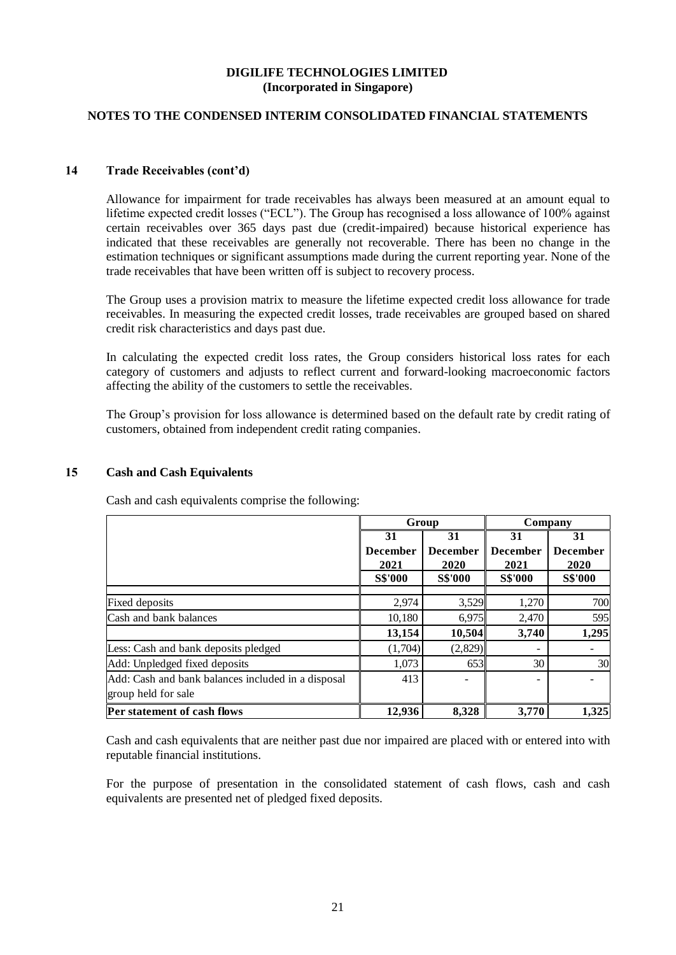## **NOTES TO THE CONDENSED INTERIM CONSOLIDATED FINANCIAL STATEMENTS**

## **14 Trade Receivables (cont'd)**

Allowance for impairment for trade receivables has always been measured at an amount equal to lifetime expected credit losses ("ECL"). The Group has recognised a loss allowance of 100% against certain receivables over 365 days past due (credit-impaired) because historical experience has indicated that these receivables are generally not recoverable. There has been no change in the estimation techniques or significant assumptions made during the current reporting year. None of the trade receivables that have been written off is subject to recovery process.

The Group uses a provision matrix to measure the lifetime expected credit loss allowance for trade receivables. In measuring the expected credit losses, trade receivables are grouped based on shared credit risk characteristics and days past due.

In calculating the expected credit loss rates, the Group considers historical loss rates for each category of customers and adjusts to reflect current and forward-looking macroeconomic factors affecting the ability of the customers to settle the receivables.

The Group's provision for loss allowance is determined based on the default rate by credit rating of customers, obtained from independent credit rating companies.

### **15 Cash and Cash Equivalents**

|                                                    |                 | Group<br>Company |                 |                 |
|----------------------------------------------------|-----------------|------------------|-----------------|-----------------|
|                                                    | 31              | 31               | 31              | 31              |
|                                                    | <b>December</b> | <b>December</b>  | <b>December</b> | <b>December</b> |
|                                                    | 2021            | 2020             | 2021            | 2020            |
|                                                    | <b>S\$'000</b>  | <b>S\$'000</b>   | <b>S\$'000</b>  | <b>S\$'000</b>  |
|                                                    |                 |                  |                 | 700             |
| <b>Fixed deposits</b>                              | 2,974           | 3,529            | 1,270           |                 |
| Cash and bank balances                             | 10,180          | 6,975            | 2,470           | 595             |
|                                                    | 13,154          | 10,504           | 3,740           | 1,295           |
| Less: Cash and bank deposits pledged               | (1,704)         | (2,829)          |                 |                 |
| Add: Unpledged fixed deposits                      | 1,073           | 653              | 30              | 30              |
| Add: Cash and bank balances included in a disposal | 413             |                  |                 |                 |
| group held for sale                                |                 |                  |                 |                 |
| <b>Per statement of cash flows</b>                 | 12,936          | 8,328            | 3,770           | 1,325           |

Cash and cash equivalents comprise the following:

Cash and cash equivalents that are neither past due nor impaired are placed with or entered into with reputable financial institutions.

For the purpose of presentation in the consolidated statement of cash flows, cash and cash equivalents are presented net of pledged fixed deposits.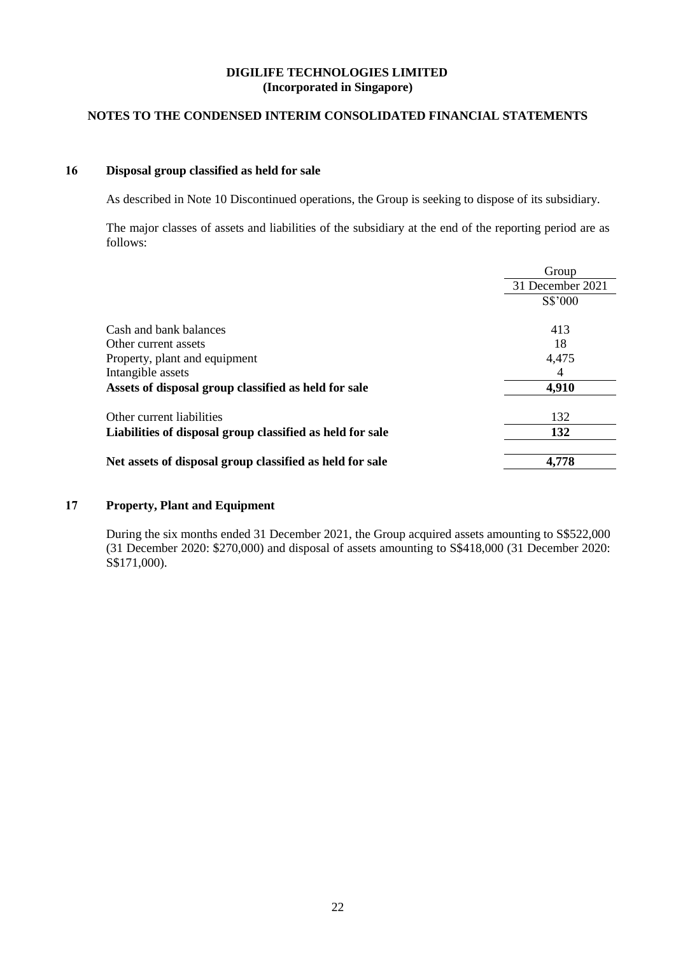# **NOTES TO THE CONDENSED INTERIM CONSOLIDATED FINANCIAL STATEMENTS**

## **16 Disposal group classified as held for sale**

As described in Note 10 Discontinued operations, the Group is seeking to dispose of its subsidiary.

The major classes of assets and liabilities of the subsidiary at the end of the reporting period are as follows:

|                                                           | Group            |
|-----------------------------------------------------------|------------------|
|                                                           | 31 December 2021 |
|                                                           | S\$'000          |
|                                                           |                  |
| Cash and bank balances                                    | 413              |
| Other current assets                                      | 18               |
| Property, plant and equipment                             | 4,475            |
| Intangible assets                                         | 4                |
| Assets of disposal group classified as held for sale      | 4,910            |
| Other current liabilities                                 | 132              |
|                                                           |                  |
| Liabilities of disposal group classified as held for sale | 132              |
| Net assets of disposal group classified as held for sale  | 4,778            |

# **17 Property, Plant and Equipment**

During the six months ended 31 December 2021, the Group acquired assets amounting to S\$522,000 (31 December 2020: \$270,000) and disposal of assets amounting to S\$418,000 (31 December 2020: S\$171,000).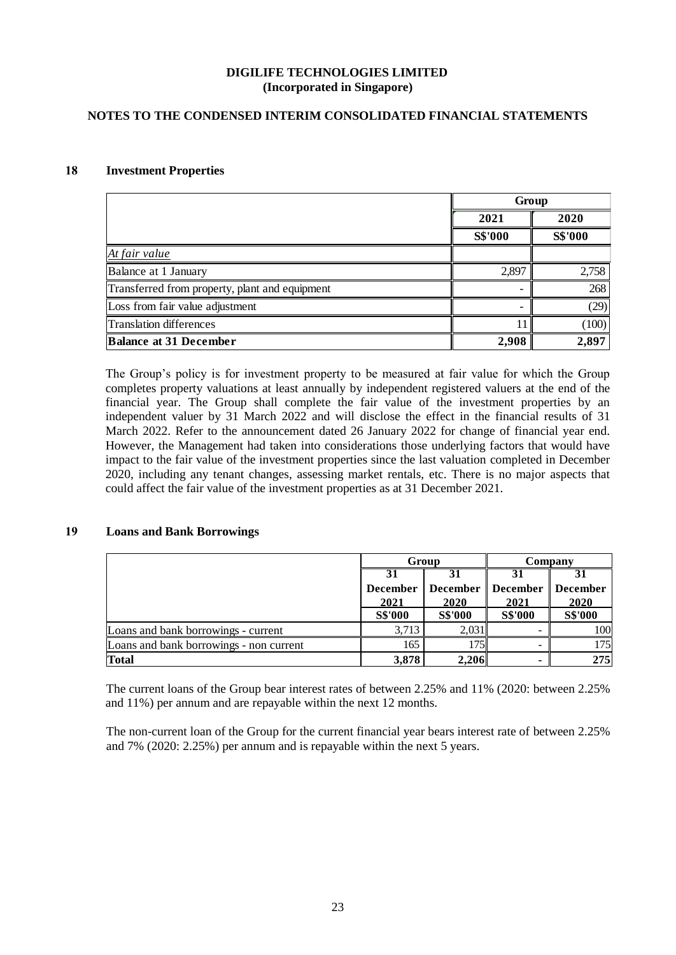## **NOTES TO THE CONDENSED INTERIM CONSOLIDATED FINANCIAL STATEMENTS**

## **18 Investment Properties**

|                                                |                | Group          |
|------------------------------------------------|----------------|----------------|
|                                                | 2021           | 2020           |
|                                                | <b>S\$'000</b> | <b>S\$'000</b> |
| At fair value                                  |                |                |
| Balance at 1 January                           | 2,897          | 2,758          |
| Transferred from property, plant and equipment |                | 268            |
| Loss from fair value adjustment                |                | (29)           |
| Translation differences                        |                | (100)          |
| <b>Balance at 31 December</b>                  | 2,908          | 2,897          |

The Group's policy is for investment property to be measured at fair value for which the Group completes property valuations at least annually by independent registered valuers at the end of the financial year. The Group shall complete the fair value of the investment properties by an independent valuer by 31 March 2022 and will disclose the effect in the financial results of 31 March 2022. Refer to the announcement dated 26 January 2022 for change of financial year end. However, the Management had taken into considerations those underlying factors that would have impact to the fair value of the investment properties since the last valuation completed in December 2020, including any tenant changes, assessing market rentals, etc. There is no major aspects that could affect the fair value of the investment properties as at 31 December 2021.

### **19 Loans and Bank Borrowings**

|                                         |                 | Group<br>Company    |                |                 |
|-----------------------------------------|-----------------|---------------------|----------------|-----------------|
|                                         |                 |                     |                |                 |
|                                         | <b>December</b> | December   December |                | <b>December</b> |
|                                         | 2021            | 2020                | 2021           | 2020            |
|                                         | <b>S\$'000</b>  | <b>S\$'000</b>      | <b>S\$'000</b> | <b>S\$'000</b>  |
| Loans and bank borrowings - current     | 3,713           | 2,031               |                | 100             |
| Loans and bank borrowings - non current | 165             | 175                 |                | 175             |
| <b>Total</b>                            | 3,878           | 2,206               |                | 275             |

The current loans of the Group bear interest rates of between 2.25% and 11% (2020: between 2.25% and 11%) per annum and are repayable within the next 12 months.

The non-current loan of the Group for the current financial year bears interest rate of between 2.25% and 7% (2020: 2.25%) per annum and is repayable within the next 5 years.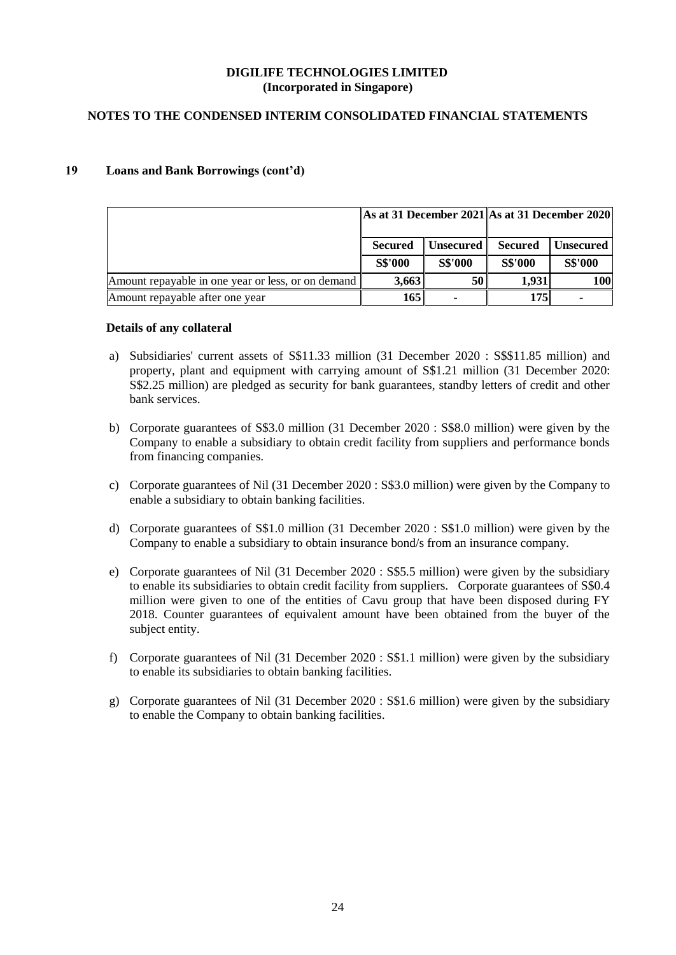## **NOTES TO THE CONDENSED INTERIM CONSOLIDATED FINANCIAL STATEMENTS**

## **19 Loans and Bank Borrowings (cont'd)**

|                                                    |                |                  | As at 31 December 2021 As at 31 December 2020 |                  |  |
|----------------------------------------------------|----------------|------------------|-----------------------------------------------|------------------|--|
|                                                    | <b>Secured</b> | <b>Unsecured</b> | <b>Secured</b>                                | <b>Unsecured</b> |  |
|                                                    | <b>S\$'000</b> | <b>S\$'000</b>   | <b>S\$'000</b>                                | <b>S\$'000</b>   |  |
| Amount repayable in one year or less, or on demand | 3,663          | 50               | 1,931                                         | 100              |  |
| Amount repayable after one year                    | 165            |                  | 175                                           |                  |  |

#### **Details of any collateral**

- a) Subsidiaries' current assets of S\$11.33 million (31 December 2020 : S\$\$11.85 million) and property, plant and equipment with carrying amount of S\$1.21 million (31 December 2020: S\$2.25 million) are pledged as security for bank guarantees, standby letters of credit and other bank services.
- b) Corporate guarantees of S\$3.0 million (31 December 2020 : S\$8.0 million) were given by the Company to enable a subsidiary to obtain credit facility from suppliers and performance bonds from financing companies.
- c) Corporate guarantees of Nil (31 December 2020 : S\$3.0 million) were given by the Company to enable a subsidiary to obtain banking facilities.
- d) Corporate guarantees of S\$1.0 million (31 December 2020 : S\$1.0 million) were given by the Company to enable a subsidiary to obtain insurance bond/s from an insurance company.
- e) Corporate guarantees of Nil (31 December 2020 : S\$5.5 million) were given by the subsidiary to enable its subsidiaries to obtain credit facility from suppliers. Corporate guarantees of S\$0.4 million were given to one of the entities of Cavu group that have been disposed during FY 2018. Counter guarantees of equivalent amount have been obtained from the buyer of the subject entity.
- f) Corporate guarantees of Nil (31 December 2020 : S\$1.1 million) were given by the subsidiary to enable its subsidiaries to obtain banking facilities.
- g) Corporate guarantees of Nil (31 December 2020 : S\$1.6 million) were given by the subsidiary to enable the Company to obtain banking facilities.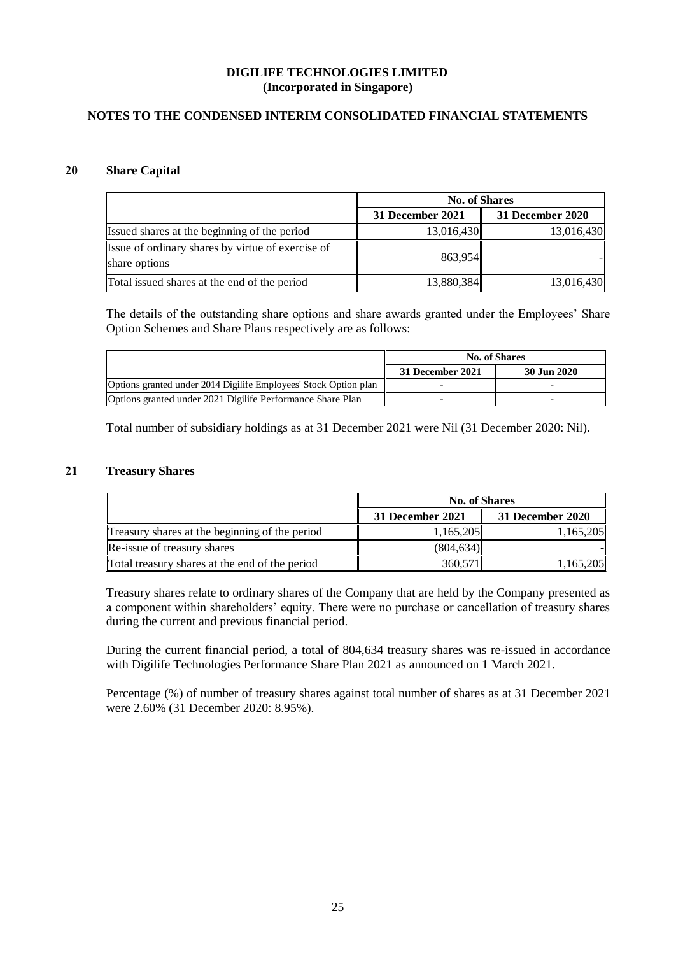## **NOTES TO THE CONDENSED INTERIM CONSOLIDATED FINANCIAL STATEMENTS**

## **20 Share Capital**

|                                                                    | <b>No. of Shares</b> |                  |  |
|--------------------------------------------------------------------|----------------------|------------------|--|
|                                                                    | 31 December 2021     | 31 December 2020 |  |
| Issued shares at the beginning of the period                       | 13,016,430           | 13,016,430       |  |
| Issue of ordinary shares by virtue of exercise of<br>share options | 863,954              |                  |  |
| Total issued shares at the end of the period                       | 13,880,384           | 13,016,430       |  |

The details of the outstanding share options and share awards granted under the Employees' Share Option Schemes and Share Plans respectively are as follows:

|                                                                  | <b>No. of Shares</b> |             |
|------------------------------------------------------------------|----------------------|-------------|
|                                                                  | 31 December 2021     | 30 Jun 2020 |
| Options granted under 2014 Digilife Employees' Stock Option plan |                      |             |
| Options granted under 2021 Digilife Performance Share Plan       |                      |             |

Total number of subsidiary holdings as at 31 December 2021 were Nil (31 December 2020: Nil).

## **21 Treasury Shares**

|                                                | <b>No. of Shares</b> |                  |  |
|------------------------------------------------|----------------------|------------------|--|
|                                                | 31 December 2021     | 31 December 2020 |  |
| Treasury shares at the beginning of the period | 1,165,205            | 1,165,205        |  |
| Re-issue of treasury shares                    | (804.634)            |                  |  |
| Total treasury shares at the end of the period | 360,571              | 1,165,205        |  |

Treasury shares relate to ordinary shares of the Company that are held by the Company presented as a component within shareholders' equity. There were no purchase or cancellation of treasury shares during the current and previous financial period.

During the current financial period, a total of 804,634 treasury shares was re-issued in accordance with Digilife Technologies Performance Share Plan 2021 as announced on 1 March 2021.

Percentage (%) of number of treasury shares against total number of shares as at 31 December 2021 were 2.60% (31 December 2020: 8.95%).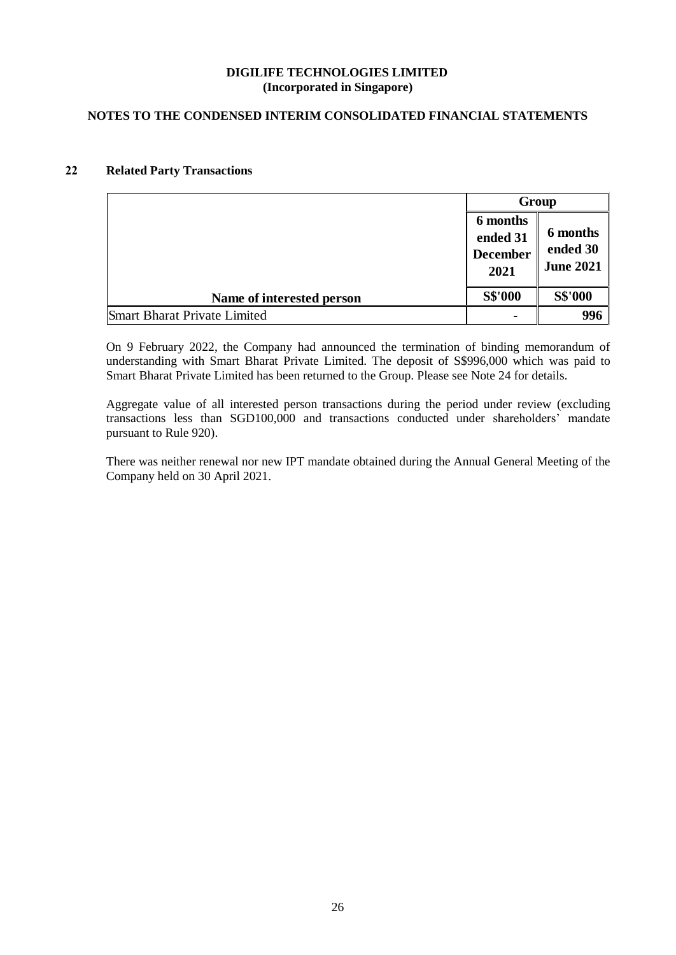## **NOTES TO THE CONDENSED INTERIM CONSOLIDATED FINANCIAL STATEMENTS**

## **22 Related Party Transactions**

|                              | Group                                           |                                          |
|------------------------------|-------------------------------------------------|------------------------------------------|
|                              | 6 months<br>ended 31<br><b>December</b><br>2021 | 6 months<br>ended 30<br><b>June 2021</b> |
| Name of interested person    | <b>S\$'000</b>                                  | <b>S\$'000</b>                           |
| Smart Bharat Private Limited | ٠                                               | 996                                      |

On 9 February 2022, the Company had announced the termination of binding memorandum of understanding with Smart Bharat Private Limited. The deposit of S\$996,000 which was paid to Smart Bharat Private Limited has been returned to the Group. Please see Note 24 for details.

Aggregate value of all interested person transactions during the period under review (excluding transactions less than SGD100,000 and transactions conducted under shareholders' mandate pursuant to Rule 920).

There was neither renewal nor new IPT mandate obtained during the Annual General Meeting of the Company held on 30 April 2021.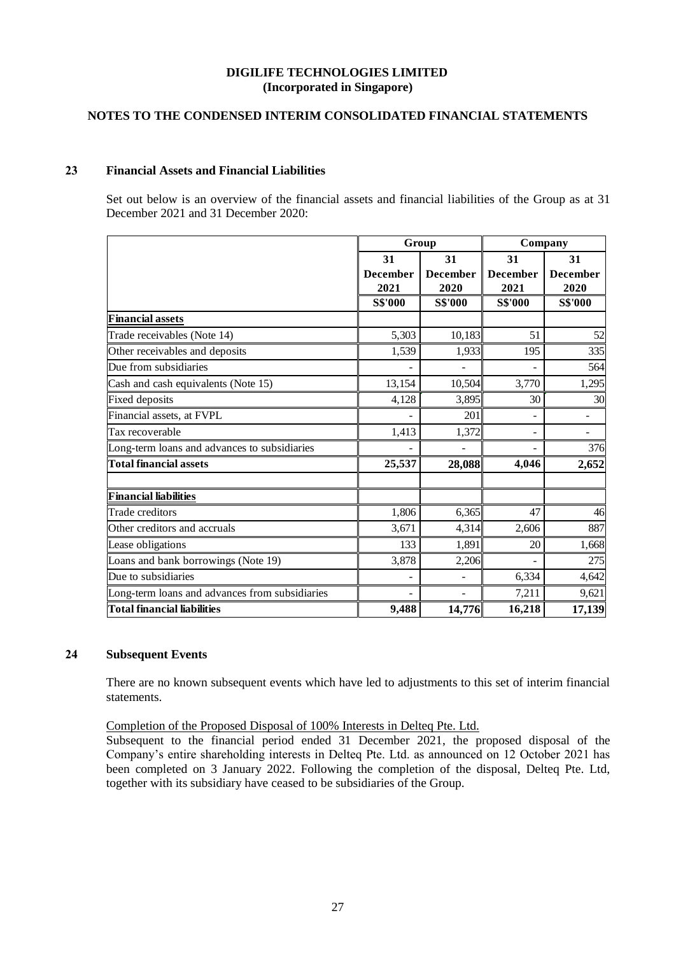## **NOTES TO THE CONDENSED INTERIM CONSOLIDATED FINANCIAL STATEMENTS**

## **23 Financial Assets and Financial Liabilities**

Set out below is an overview of the financial assets and financial liabilities of the Group as at 31 December 2021 and 31 December 2020:

|                                                | Group           |                          | Company         |                          |
|------------------------------------------------|-----------------|--------------------------|-----------------|--------------------------|
|                                                | 31              | 31                       | 31              | 31                       |
|                                                | <b>December</b> | <b>December</b>          | <b>December</b> | <b>December</b>          |
|                                                | 2021            | 2020                     | 2021            | 2020                     |
|                                                | S\$'000         | S\$'000                  | <b>S\$'000</b>  | S\$'000                  |
| <b>Financial assets</b>                        |                 |                          |                 |                          |
| Trade receivables (Note 14)                    | 5,303           | 10,183                   | 51              | 52                       |
| Other receivables and deposits                 | 1,539           | 1,933                    | 195             | 335                      |
| Due from subsidiaries                          |                 |                          |                 | 564                      |
| Cash and cash equivalents (Note 15)            | 13,154          | 10,504                   | 3,770           | 1,295                    |
| <b>Fixed deposits</b>                          | 4,128           | 3,895                    | 30              | 30                       |
| Financial assets, at FVPL                      |                 | 201                      |                 |                          |
| Tax recoverable                                | 1,413           | 1,372                    | ۰               | $\overline{\phantom{a}}$ |
| Long-term loans and advances to subsidiaries   |                 |                          |                 | 376                      |
| <b>Total financial assets</b>                  | 25,537          | 28,088                   | 4,046           | 2,652                    |
| <b>Financial liabilities</b>                   |                 |                          |                 |                          |
| Trade creditors                                | 1,806           | 6,365                    | 47              | 46                       |
| Other creditors and accruals                   | 3,671           | 4,314                    | 2,606           | 887                      |
| Lease obligations                              | 133             | 1,891                    | 20              | 1,668                    |
| Loans and bank borrowings (Note 19)            | 3,878           | 2,206                    |                 | 275                      |
| Due to subsidiaries                            |                 |                          | 6,334           | 4,642                    |
| Long-term loans and advances from subsidiaries | $\blacksquare$  | $\overline{\phantom{0}}$ | 7,211           | 9,621                    |
| Total financial liabilities                    | 9,488           | 14,776                   | 16,218          | 17,139                   |

## **24 Subsequent Events**

There are no known subsequent events which have led to adjustments to this set of interim financial statements.

### Completion of the Proposed Disposal of 100% Interests in Delteq Pte. Ltd.

Subsequent to the financial period ended 31 December 2021, the proposed disposal of the Company's entire shareholding interests in Delteq Pte. Ltd. as announced on 12 October 2021 has been completed on 3 January 2022. Following the completion of the disposal, Delteq Pte. Ltd, together with its subsidiary have ceased to be subsidiaries of the Group.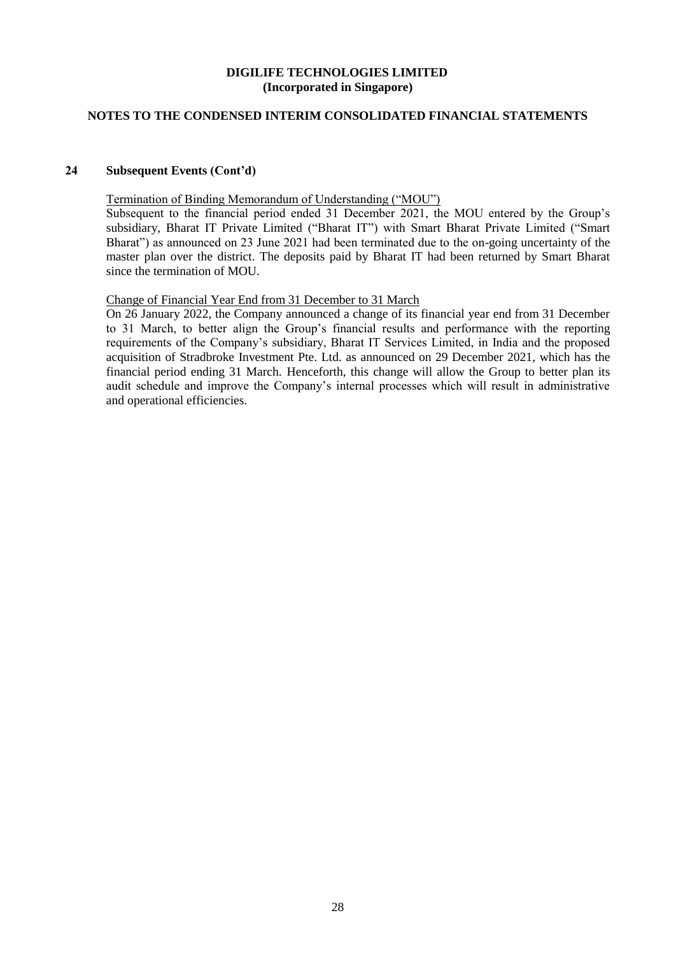## **NOTES TO THE CONDENSED INTERIM CONSOLIDATED FINANCIAL STATEMENTS**

## **24 Subsequent Events (Cont'd)**

Termination of Binding Memorandum of Understanding ("MOU")

Subsequent to the financial period ended 31 December 2021, the MOU entered by the Group's subsidiary, Bharat IT Private Limited ("Bharat IT") with Smart Bharat Private Limited ("Smart Bharat") as announced on 23 June 2021 had been terminated due to the on-going uncertainty of the master plan over the district. The deposits paid by Bharat IT had been returned by Smart Bharat since the termination of MOU.

## Change of Financial Year End from 31 December to 31 March

On 26 January 2022, the Company announced a change of its financial year end from 31 December to 31 March, to better align the Group's financial results and performance with the reporting requirements of the Company's subsidiary, Bharat IT Services Limited, in India and the proposed acquisition of Stradbroke Investment Pte. Ltd. as announced on 29 December 2021, which has the financial period ending 31 March. Henceforth, this change will allow the Group to better plan its audit schedule and improve the Company's internal processes which will result in administrative and operational efficiencies.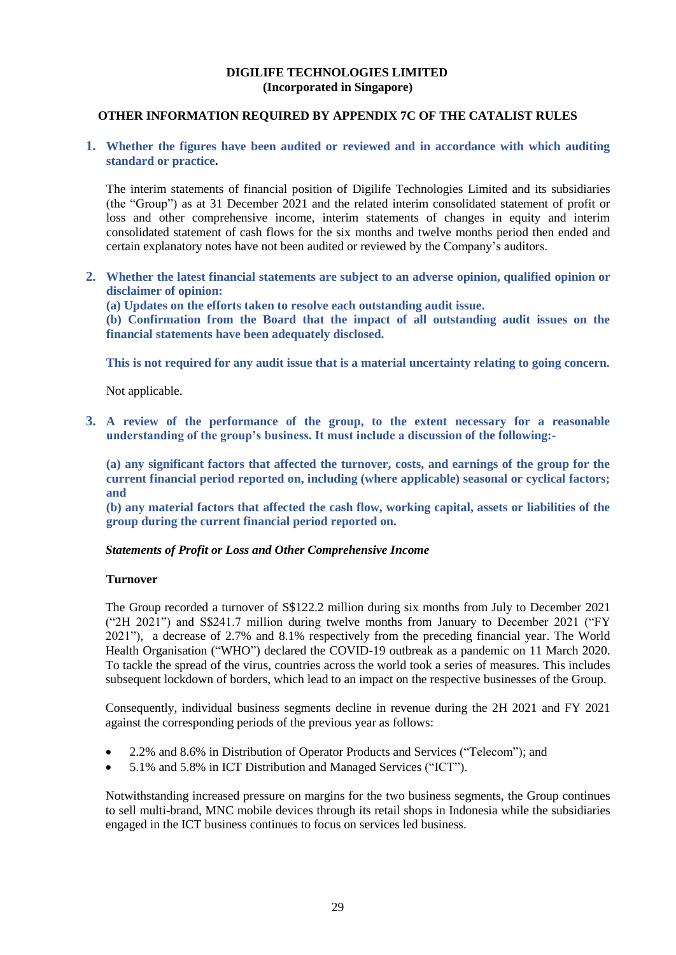### **OTHER INFORMATION REQUIRED BY APPENDIX 7C OF THE CATALIST RULES**

## **1. Whether the figures have been audited or reviewed and in accordance with which auditing standard or practice.**

The interim statements of financial position of Digilife Technologies Limited and its subsidiaries (the "Group") as at 31 December 2021 and the related interim consolidated statement of profit or loss and other comprehensive income, interim statements of changes in equity and interim consolidated statement of cash flows for the six months and twelve months period then ended and certain explanatory notes have not been audited or reviewed by the Company's auditors.

**2. Whether the latest financial statements are subject to an adverse opinion, qualified opinion or disclaimer of opinion:**

**(a) Updates on the efforts taken to resolve each outstanding audit issue.**

**(b) Confirmation from the Board that the impact of all outstanding audit issues on the financial statements have been adequately disclosed.**

**This is not required for any audit issue that is a material uncertainty relating to going concern.**

Not applicable.

**3. A review of the performance of the group, to the extent necessary for a reasonable understanding of the group's business. It must include a discussion of the following:-**

**(a) any significant factors that affected the turnover, costs, and earnings of the group for the current financial period reported on, including (where applicable) seasonal or cyclical factors; and** 

**(b) any material factors that affected the cash flow, working capital, assets or liabilities of the group during the current financial period reported on.** 

### *Statements of Profit or Loss and Other Comprehensive Income*

### **Turnover**

The Group recorded a turnover of S\$122.2 million during six months from July to December 2021 ("2H 2021") and S\$241.7 million during twelve months from January to December 2021 ("FY 2021"), a decrease of 2.7% and 8.1% respectively from the preceding financial year. The World Health Organisation ("WHO") declared the COVID-19 outbreak as a pandemic on 11 March 2020. To tackle the spread of the virus, countries across the world took a series of measures. This includes subsequent lockdown of borders, which lead to an impact on the respective businesses of the Group.

Consequently, individual business segments decline in revenue during the 2H 2021 and FY 2021 against the corresponding periods of the previous year as follows:

- 2.2% and 8.6% in Distribution of Operator Products and Services ("Telecom"); and
- 5.1% and 5.8% in ICT Distribution and Managed Services ("ICT").

Notwithstanding increased pressure on margins for the two business segments, the Group continues to sell multi-brand, MNC mobile devices through its retail shops in Indonesia while the subsidiaries engaged in the ICT business continues to focus on services led business.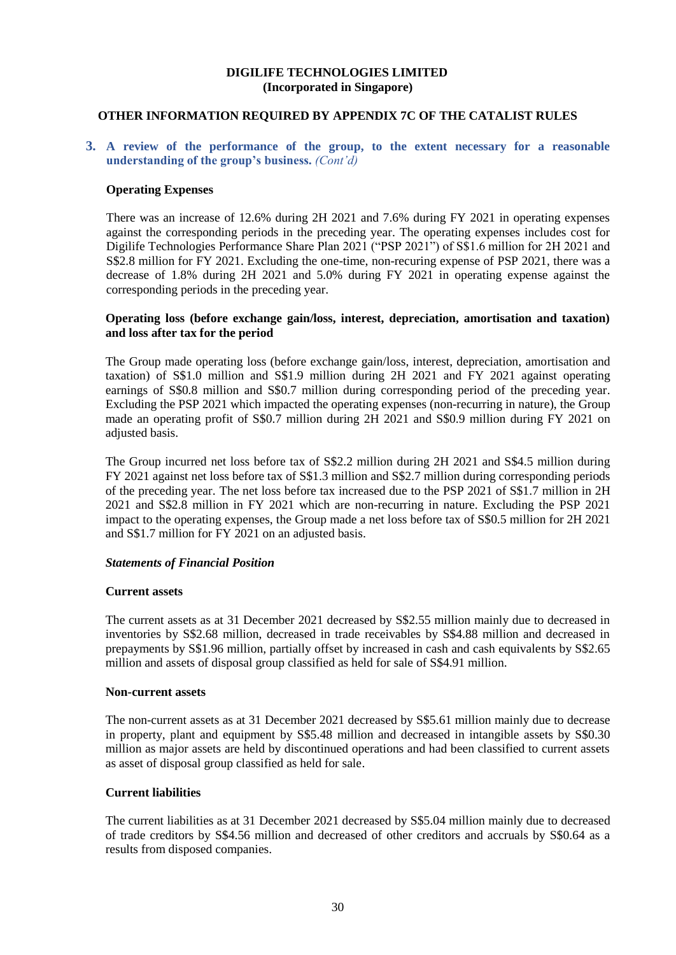## **OTHER INFORMATION REQUIRED BY APPENDIX 7C OF THE CATALIST RULES**

### **3. A review of the performance of the group, to the extent necessary for a reasonable understanding of the group's business.** *(Cont'd)*

#### **Operating Expenses**

There was an increase of 12.6% during 2H 2021 and 7.6% during FY 2021 in operating expenses against the corresponding periods in the preceding year. The operating expenses includes cost for Digilife Technologies Performance Share Plan 2021 ("PSP 2021") of S\$1.6 million for 2H 2021 and S\$2.8 million for FY 2021. Excluding the one-time, non-recuring expense of PSP 2021, there was a decrease of 1.8% during 2H 2021 and 5.0% during FY 2021 in operating expense against the corresponding periods in the preceding year.

#### **Operating loss (before exchange gain/loss, interest, depreciation, amortisation and taxation) and loss after tax for the period**

The Group made operating loss (before exchange gain/loss, interest, depreciation, amortisation and taxation) of S\$1.0 million and S\$1.9 million during 2H 2021 and FY 2021 against operating earnings of S\$0.8 million and S\$0.7 million during corresponding period of the preceding year. Excluding the PSP 2021 which impacted the operating expenses (non-recurring in nature), the Group made an operating profit of S\$0.7 million during 2H 2021 and S\$0.9 million during FY 2021 on adjusted basis.

The Group incurred net loss before tax of S\$2.2 million during 2H 2021 and S\$4.5 million during FY 2021 against net loss before tax of S\$1.3 million and S\$2.7 million during corresponding periods of the preceding year. The net loss before tax increased due to the PSP 2021 of S\$1.7 million in 2H 2021 and S\$2.8 million in FY 2021 which are non-recurring in nature. Excluding the PSP 2021 impact to the operating expenses, the Group made a net loss before tax of S\$0.5 million for 2H 2021 and S\$1.7 million for FY 2021 on an adjusted basis.

#### *Statements of Financial Position*

#### **Current assets**

The current assets as at 31 December 2021 decreased by S\$2.55 million mainly due to decreased in inventories by S\$2.68 million, decreased in trade receivables by S\$4.88 million and decreased in prepayments by S\$1.96 million, partially offset by increased in cash and cash equivalents by S\$2.65 million and assets of disposal group classified as held for sale of S\$4.91 million.

#### **Non-current assets**

The non-current assets as at 31 December 2021 decreased by S\$5.61 million mainly due to decrease in property, plant and equipment by S\$5.48 million and decreased in intangible assets by S\$0.30 million as major assets are held by discontinued operations and had been classified to current assets as asset of disposal group classified as held for sale.

#### **Current liabilities**

The current liabilities as at 31 December 2021 decreased by S\$5.04 million mainly due to decreased of trade creditors by S\$4.56 million and decreased of other creditors and accruals by S\$0.64 as a results from disposed companies.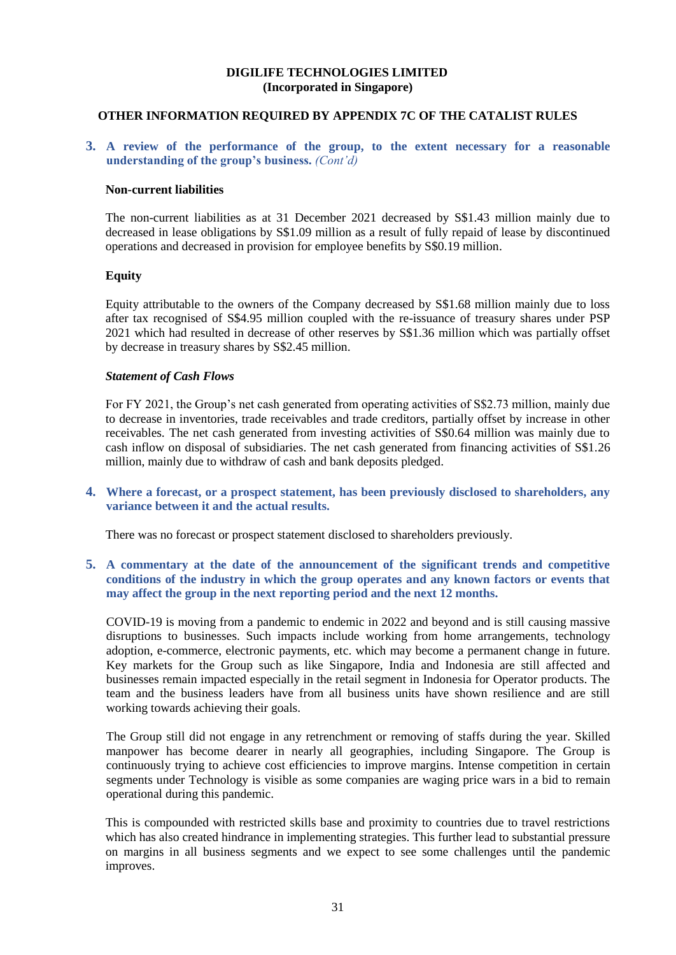### **OTHER INFORMATION REQUIRED BY APPENDIX 7C OF THE CATALIST RULES**

**3. A review of the performance of the group, to the extent necessary for a reasonable understanding of the group's business.** *(Cont'd)*

#### **Non-current liabilities**

The non-current liabilities as at 31 December 2021 decreased by S\$1.43 million mainly due to decreased in lease obligations by S\$1.09 million as a result of fully repaid of lease by discontinued operations and decreased in provision for employee benefits by S\$0.19 million.

#### **Equity**

Equity attributable to the owners of the Company decreased by S\$1.68 million mainly due to loss after tax recognised of S\$4.95 million coupled with the re-issuance of treasury shares under PSP 2021 which had resulted in decrease of other reserves by S\$1.36 million which was partially offset by decrease in treasury shares by S\$2.45 million.

#### *Statement of Cash Flows*

For FY 2021, the Group's net cash generated from operating activities of S\$2.73 million, mainly due to decrease in inventories, trade receivables and trade creditors, partially offset by increase in other receivables. The net cash generated from investing activities of S\$0.64 million was mainly due to cash inflow on disposal of subsidiaries. The net cash generated from financing activities of S\$1.26 million, mainly due to withdraw of cash and bank deposits pledged.

**4. Where a forecast, or a prospect statement, has been previously disclosed to shareholders, any variance between it and the actual results.**

There was no forecast or prospect statement disclosed to shareholders previously.

## **5. A commentary at the date of the announcement of the significant trends and competitive conditions of the industry in which the group operates and any known factors or events that may affect the group in the next reporting period and the next 12 months.**

COVID-19 is moving from a pandemic to endemic in 2022 and beyond and is still causing massive disruptions to businesses. Such impacts include working from home arrangements, technology adoption, e-commerce, electronic payments, etc. which may become a permanent change in future. Key markets for the Group such as like Singapore, India and Indonesia are still affected and businesses remain impacted especially in the retail segment in Indonesia for Operator products. The team and the business leaders have from all business units have shown resilience and are still working towards achieving their goals.

The Group still did not engage in any retrenchment or removing of staffs during the year. Skilled manpower has become dearer in nearly all geographies, including Singapore. The Group is continuously trying to achieve cost efficiencies to improve margins. Intense competition in certain segments under Technology is visible as some companies are waging price wars in a bid to remain operational during this pandemic.

This is compounded with restricted skills base and proximity to countries due to travel restrictions which has also created hindrance in implementing strategies. This further lead to substantial pressure on margins in all business segments and we expect to see some challenges until the pandemic improves.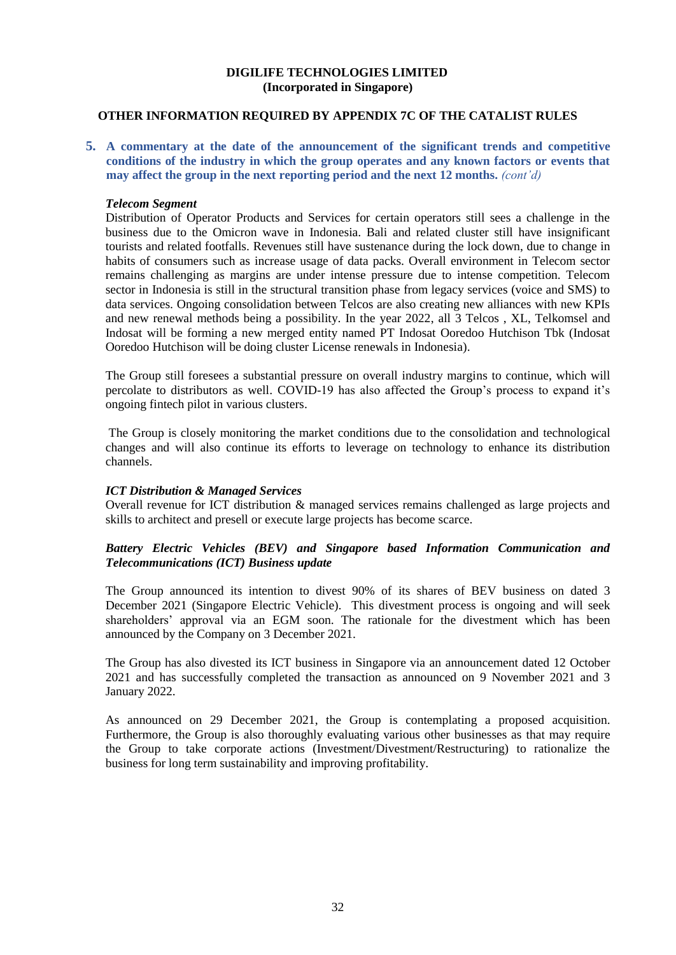#### **OTHER INFORMATION REQUIRED BY APPENDIX 7C OF THE CATALIST RULES**

**5. A commentary at the date of the announcement of the significant trends and competitive conditions of the industry in which the group operates and any known factors or events that may affect the group in the next reporting period and the next 12 months.** *(cont'd)*

#### *Telecom Segment*

Distribution of Operator Products and Services for certain operators still sees a challenge in the business due to the Omicron wave in Indonesia. Bali and related cluster still have insignificant tourists and related footfalls. Revenues still have sustenance during the lock down, due to change in habits of consumers such as increase usage of data packs. Overall environment in Telecom sector remains challenging as margins are under intense pressure due to intense competition. Telecom sector in Indonesia is still in the structural transition phase from legacy services (voice and SMS) to data services. Ongoing consolidation between Telcos are also creating new alliances with new KPIs and new renewal methods being a possibility. In the year 2022, all 3 Telcos , XL, Telkomsel and Indosat will be forming a new merged entity named PT Indosat Ooredoo Hutchison Tbk (Indosat Ooredoo Hutchison will be doing cluster License renewals in Indonesia).

The Group still foresees a substantial pressure on overall industry margins to continue, which will percolate to distributors as well. COVID-19 has also affected the Group's process to expand it's ongoing fintech pilot in various clusters.

The Group is closely monitoring the market conditions due to the consolidation and technological changes and will also continue its efforts to leverage on technology to enhance its distribution channels.

### *ICT Distribution & Managed Services*

Overall revenue for ICT distribution & managed services remains challenged as large projects and skills to architect and presell or execute large projects has become scarce.

### *Battery Electric Vehicles (BEV) and Singapore based Information Communication and Telecommunications (ICT) Business update*

The Group announced its intention to divest 90% of its shares of BEV business on dated 3 December 2021 (Singapore Electric Vehicle). This divestment process is ongoing and will seek shareholders' approval via an EGM soon. The rationale for the divestment which has been announced by the Company on 3 December 2021.

The Group has also divested its ICT business in Singapore via an announcement dated 12 October 2021 and has successfully completed the transaction as announced on 9 November 2021 and 3 January 2022.

As announced on 29 December 2021, the Group is contemplating a proposed acquisition. Furthermore, the Group is also thoroughly evaluating various other businesses as that may require the Group to take corporate actions (Investment/Divestment/Restructuring) to rationalize the business for long term sustainability and improving profitability.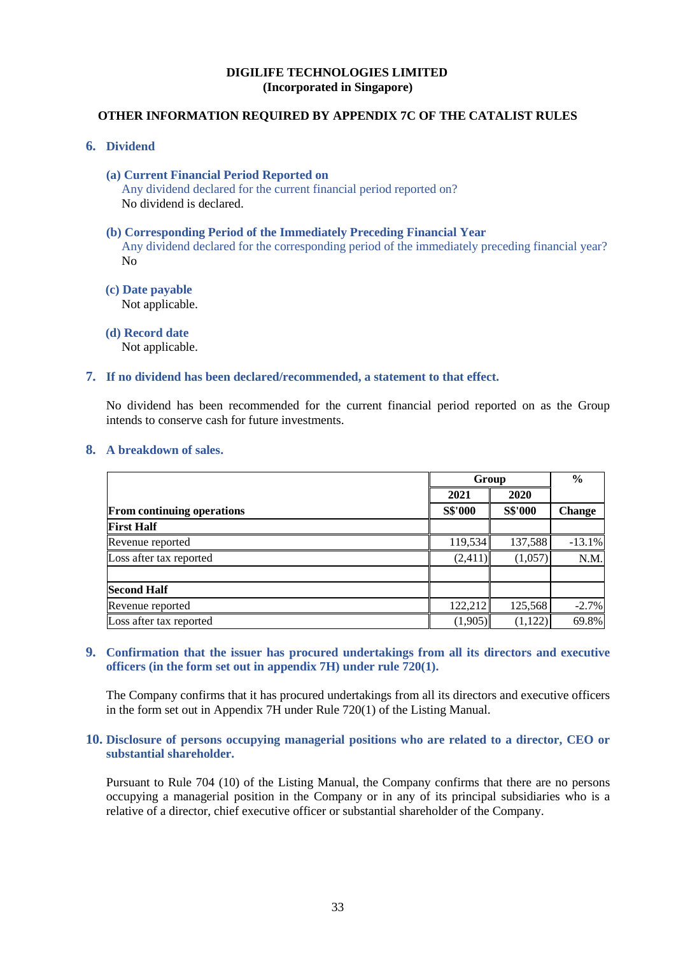# **OTHER INFORMATION REQUIRED BY APPENDIX 7C OF THE CATALIST RULES**

#### **6. Dividend**

- **(a) Current Financial Period Reported on**  Any dividend declared for the current financial period reported on? No dividend is declared.
- **(b) Corresponding Period of the Immediately Preceding Financial Year** Any dividend declared for the corresponding period of the immediately preceding financial year? No
- **(c) Date payable**  Not applicable.
- **(d) Record date**  Not applicable.
- **7. If no dividend has been declared/recommended, a statement to that effect.**

No dividend has been recommended for the current financial period reported on as the Group intends to conserve cash for future investments.

**8. A breakdown of sales.** 

|                                   |                | Group          |               |
|-----------------------------------|----------------|----------------|---------------|
|                                   | 2021           | 2020           |               |
| <b>From continuing operations</b> | <b>S\$'000</b> | <b>S\$'000</b> | <b>Change</b> |
| <b>First Half</b>                 |                |                |               |
| Revenue reported                  | 119,534        | 137,588        | $-13.1%$      |
| Loss after tax reported           | (2,411)        | (1,057)        | N.M.          |
| <b>Second Half</b>                |                |                |               |
| Revenue reported                  | 122,212        | 125,568        | $-2.7%$       |
| Loss after tax reported           | (1,905)        | (1,122)        | 69.8%         |

**9. Confirmation that the issuer has procured undertakings from all its directors and executive officers (in the form set out in appendix 7H) under rule 720(1).**

The Company confirms that it has procured undertakings from all its directors and executive officers in the form set out in Appendix 7H under Rule 720(1) of the Listing Manual.

## **10. Disclosure of persons occupying managerial positions who are related to a director, CEO or substantial shareholder.**

Pursuant to Rule 704 (10) of the Listing Manual, the Company confirms that there are no persons occupying a managerial position in the Company or in any of its principal subsidiaries who is a relative of a director, chief executive officer or substantial shareholder of the Company.